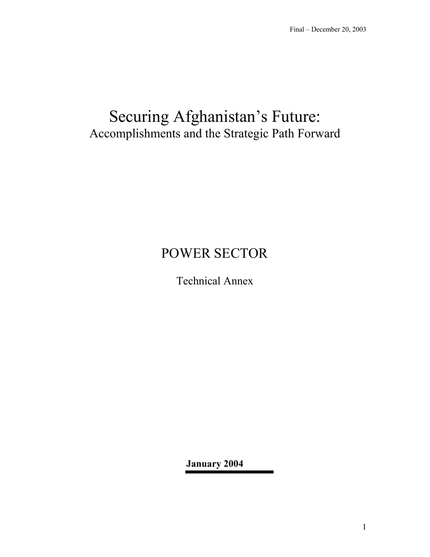## Securing Afghanistan's Future: Accomplishments and the Strategic Path Forward

# POWER SECTOR

Technical Annex

**January 2004**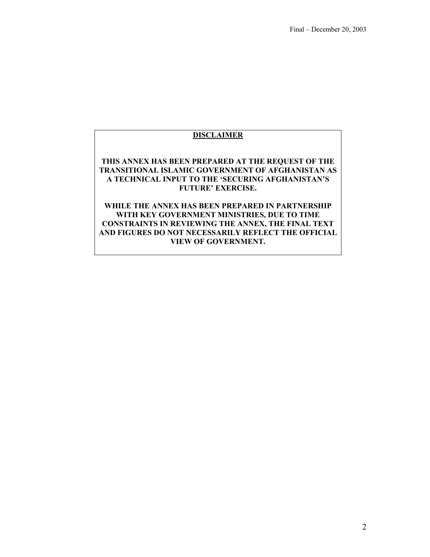## **DISCLAIMER**

**THIS ANNEX HAS BEEN PREPARED AT THE REQUEST OF THE TRANSITIONAL ISLAMIC GOVERNMENT OF AFGHANISTAN AS A TECHNICAL INPUT TO THE 'SECURING AFGHANISTAN'S FUTURE' EXERCISE.** 

**WHILE THE ANNEX HAS BEEN PREPARED IN PARTNERSHIP WITH KEY GOVERNMENT MINISTRIES, DUE TO TIME CONSTRAINTS IN REVIEWING THE ANNEX, THE FINAL TEXT AND FIGURES DO NOT NECESSARILY REFLECT THE OFFICIAL VIEW OF GOVERNMENT.**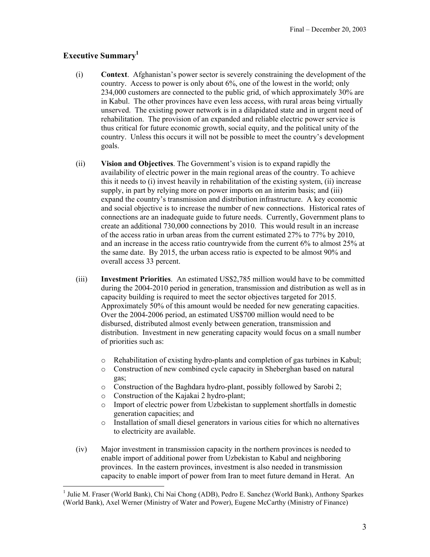## **Executive Summary1**

 $\overline{a}$ 

- (i) **Context**. Afghanistan's power sector is severely constraining the development of the country. Access to power is only about 6%, one of the lowest in the world; only 234,000 customers are connected to the public grid, of which approximately 30% are in Kabul. The other provinces have even less access, with rural areas being virtually unserved. The existing power network is in a dilapidated state and in urgent need of rehabilitation. The provision of an expanded and reliable electric power service is thus critical for future economic growth, social equity, and the political unity of the country. Unless this occurs it will not be possible to meet the country's development goals.
- (ii) **Vision and Objectives**. The Government's vision is to expand rapidly the availability of electric power in the main regional areas of the country. To achieve this it needs to (i) invest heavily in rehabilitation of the existing system, (ii) increase supply, in part by relying more on power imports on an interim basis; and (iii) expand the country's transmission and distribution infrastructure. A key economic and social objective is to increase the number of new connections. Historical rates of connections are an inadequate guide to future needs. Currently, Government plans to create an additional 730,000 connections by 2010. This would result in an increase of the access ratio in urban areas from the current estimated 27% to 77% by 2010, and an increase in the access ratio countrywide from the current 6% to almost 25% at the same date. By 2015, the urban access ratio is expected to be almost 90% and overall access 33 percent.
- (iii) **Investment Priorities**. An estimated US\$2,785 million would have to be committed during the 2004-2010 period in generation, transmission and distribution as well as in capacity building is required to meet the sector objectives targeted for 2015. Approximately 50% of this amount would be needed for new generating capacities. Over the 2004-2006 period, an estimated US\$700 million would need to be disbursed, distributed almost evenly between generation, transmission and distribution. Investment in new generating capacity would focus on a small number of priorities such as:
	- o Rehabilitation of existing hydro-plants and completion of gas turbines in Kabul;
	- o Construction of new combined cycle capacity in Sheberghan based on natural gas;
	- o Construction of the Baghdara hydro-plant, possibly followed by Sarobi 2;
	- o Construction of the Kajakai 2 hydro-plant;
	- o Import of electric power from Uzbekistan to supplement shortfalls in domestic generation capacities; and
	- o Installation of small diesel generators in various cities for which no alternatives to electricity are available.
- (iv) Major investment in transmission capacity in the northern provinces is needed to enable import of additional power from Uzbekistan to Kabul and neighboring provinces. In the eastern provinces, investment is also needed in transmission capacity to enable import of power from Iran to meet future demand in Herat. An

<sup>&</sup>lt;sup>1</sup> Julie M. Fraser (World Bank), Chi Nai Chong (ADB), Pedro E. Sanchez (World Bank), Anthony Sparkes (World Bank), Axel Werner (Ministry of Water and Power), Eugene McCarthy (Ministry of Finance)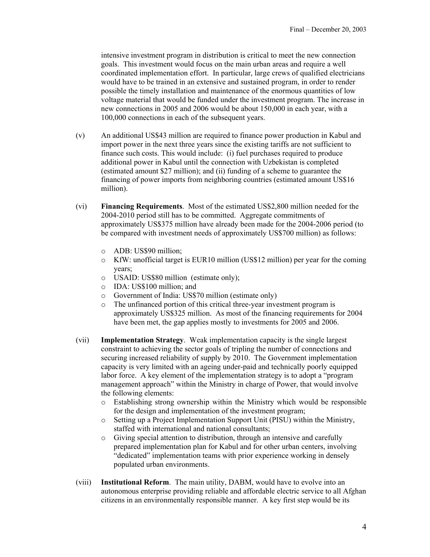intensive investment program in distribution is critical to meet the new connection goals. This investment would focus on the main urban areas and require a well coordinated implementation effort. In particular, large crews of qualified electricians would have to be trained in an extensive and sustained program, in order to render possible the timely installation and maintenance of the enormous quantities of low voltage material that would be funded under the investment program. The increase in new connections in 2005 and 2006 would be about 150,000 in each year, with a 100,000 connections in each of the subsequent years.

- (v) An additional US\$43 million are required to finance power production in Kabul and import power in the next three years since the existing tariffs are not sufficient to finance such costs. This would include: (i) fuel purchases required to produce additional power in Kabul until the connection with Uzbekistan is completed (estimated amount \$27 million); and (ii) funding of a scheme to guarantee the financing of power imports from neighboring countries (estimated amount US\$16 million).
- (vi) **Financing Requirements**. Most of the estimated US\$2,800 million needed for the 2004-2010 period still has to be committed. Aggregate commitments of approximately US\$375 million have already been made for the 2004-2006 period (to be compared with investment needs of approximately US\$700 million) as follows:
	- o ADB: US\$90 million;
	- $\circ$  KfW: unofficial target is EUR10 million (US\$12 million) per year for the coming years;
	- o USAID: US\$80 million (estimate only);
	- o IDA: US\$100 million; and
	- o Government of India: US\$70 million (estimate only)
	- o The unfinanced portion of this critical three-year investment program is approximately US\$325 million. As most of the financing requirements for 2004 have been met, the gap applies mostly to investments for 2005 and 2006.
- (vii) **Implementation Strategy**. Weak implementation capacity is the single largest constraint to achieving the sector goals of tripling the number of connections and securing increased reliability of supply by 2010. The Government implementation capacity is very limited with an ageing under-paid and technically poorly equipped labor force. A key element of the implementation strategy is to adopt a "program management approach" within the Ministry in charge of Power, that would involve the following elements:
	- o Establishing strong ownership within the Ministry which would be responsible for the design and implementation of the investment program;
	- o Setting up a Project Implementation Support Unit (PISU) within the Ministry, staffed with international and national consultants;
	- o Giving special attention to distribution, through an intensive and carefully prepared implementation plan for Kabul and for other urban centers, involving "dedicated" implementation teams with prior experience working in densely populated urban environments.
- (viii) **Institutional Reform**. The main utility, DABM, would have to evolve into an autonomous enterprise providing reliable and affordable electric service to all Afghan citizens in an environmentally responsible manner. A key first step would be its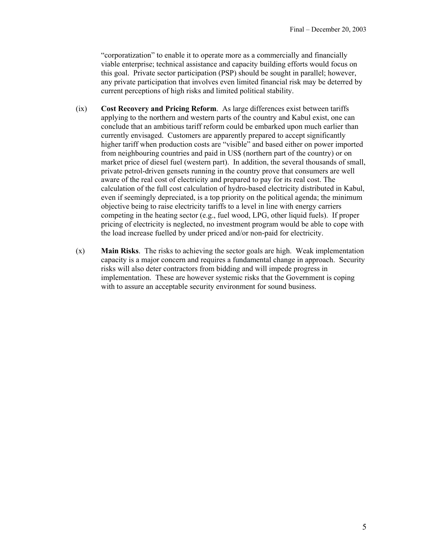"corporatization" to enable it to operate more as a commercially and financially viable enterprise; technical assistance and capacity building efforts would focus on this goal. Private sector participation (PSP) should be sought in parallel; however, any private participation that involves even limited financial risk may be deterred by current perceptions of high risks and limited political stability.

- (ix) **Cost Recovery and Pricing Reform**. As large differences exist between tariffs applying to the northern and western parts of the country and Kabul exist, one can conclude that an ambitious tariff reform could be embarked upon much earlier than currently envisaged. Customers are apparently prepared to accept significantly higher tariff when production costs are "visible" and based either on power imported from neighbouring countries and paid in US\$ (northern part of the country) or on market price of diesel fuel (western part). In addition, the several thousands of small, private petrol-driven gensets running in the country prove that consumers are well aware of the real cost of electricity and prepared to pay for its real cost. The calculation of the full cost calculation of hydro-based electricity distributed in Kabul, even if seemingly depreciated, is a top priority on the political agenda; the minimum objective being to raise electricity tariffs to a level in line with energy carriers competing in the heating sector (e.g., fuel wood, LPG, other liquid fuels). If proper pricing of electricity is neglected, no investment program would be able to cope with the load increase fuelled by under priced and/or non-paid for electricity.
- (x) **Main Risks**. The risks to achieving the sector goals are high. Weak implementation capacity is a major concern and requires a fundamental change in approach. Security risks will also deter contractors from bidding and will impede progress in implementation. These are however systemic risks that the Government is coping with to assure an acceptable security environment for sound business.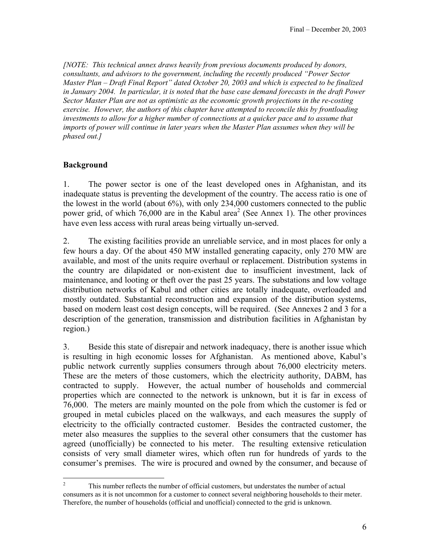*[NOTE: This technical annex draws heavily from previous documents produced by donors, consultants, and advisors to the government, including the recently produced "Power Sector Master Plan – Draft Final Report" dated October 20, 2003 and which is expected to be finalized in January 2004. In particular, it is noted that the base case demand forecasts in the draft Power Sector Master Plan are not as optimistic as the economic growth projections in the re-costing exercise. However, the authors of this chapter have attempted to reconcile this by frontloading investments to allow for a higher number of connections at a quicker pace and to assume that imports of power will continue in later years when the Master Plan assumes when they will be phased out.]*

### **Background**

1. The power sector is one of the least developed ones in Afghanistan, and its inadequate status is preventing the development of the country. The access ratio is one of the lowest in the world (about 6%), with only 234,000 customers connected to the public power grid, of which  $76,000$  are in the Kabul area<sup>2</sup> (See Annex 1). The other provinces have even less access with rural areas being virtually un-served.

2. The existing facilities provide an unreliable service, and in most places for only a few hours a day. Of the about 450 MW installed generating capacity, only 270 MW are available, and most of the units require overhaul or replacement. Distribution systems in the country are dilapidated or non-existent due to insufficient investment, lack of maintenance, and looting or theft over the past 25 years. The substations and low voltage distribution networks of Kabul and other cities are totally inadequate, overloaded and mostly outdated. Substantial reconstruction and expansion of the distribution systems, based on modern least cost design concepts, will be required. (See Annexes 2 and 3 for a description of the generation, transmission and distribution facilities in Afghanistan by region.)

3. Beside this state of disrepair and network inadequacy, there is another issue which is resulting in high economic losses for Afghanistan. As mentioned above, Kabul's public network currently supplies consumers through about 76,000 electricity meters. These are the meters of those customers, which the electricity authority, DABM, has contracted to supply. However, the actual number of households and commercial properties which are connected to the network is unknown, but it is far in excess of 76,000. The meters are mainly mounted on the pole from which the customer is fed or grouped in metal cubicles placed on the walkways, and each measures the supply of electricity to the officially contracted customer. Besides the contracted customer, the meter also measures the supplies to the several other consumers that the customer has agreed (unofficially) be connected to his meter. The resulting extensive reticulation consists of very small diameter wires, which often run for hundreds of yards to the consumer's premises. The wire is procured and owned by the consumer, and because of

 $\frac{1}{2}$  This number reflects the number of official customers, but understates the number of actual consumers as it is not uncommon for a customer to connect several neighboring households to their meter. Therefore, the number of households (official and unofficial) connected to the grid is unknown.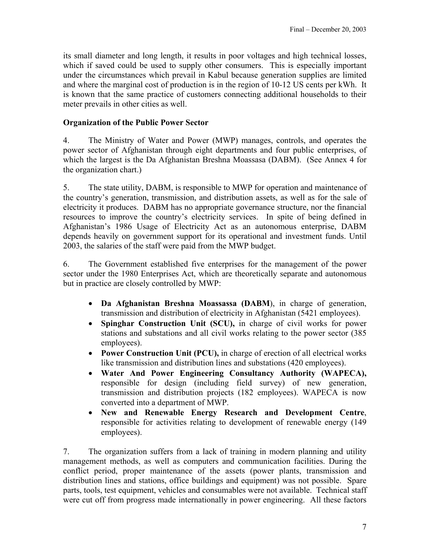its small diameter and long length, it results in poor voltages and high technical losses, which if saved could be used to supply other consumers. This is especially important under the circumstances which prevail in Kabul because generation supplies are limited and where the marginal cost of production is in the region of 10-12 US cents per kWh. It is known that the same practice of customers connecting additional households to their meter prevails in other cities as well.

## **Organization of the Public Power Sector**

4. The Ministry of Water and Power (MWP) manages, controls, and operates the power sector of Afghanistan through eight departments and four public enterprises, of which the largest is the Da Afghanistan Breshna Moassasa (DABM). (See Annex 4 for the organization chart.)

5. The state utility, DABM, is responsible to MWP for operation and maintenance of the country's generation, transmission, and distribution assets, as well as for the sale of electricity it produces. DABM has no appropriate governance structure, nor the financial resources to improve the country's electricity services. In spite of being defined in Afghanistan's 1986 Usage of Electricity Act as an autonomous enterprise, DABM depends heavily on government support for its operational and investment funds. Until 2003, the salaries of the staff were paid from the MWP budget.

6. The Government established five enterprises for the management of the power sector under the 1980 Enterprises Act, which are theoretically separate and autonomous but in practice are closely controlled by MWP:

- **Da Afghanistan Breshna Moassassa (DABM**), in charge of generation, transmission and distribution of electricity in Afghanistan (5421 employees).
- **Spinghar Construction Unit (SCU),** in charge of civil works for power stations and substations and all civil works relating to the power sector (385 employees).
- **Power Construction Unit (PCU),** in charge of erection of all electrical works like transmission and distribution lines and substations (420 employees).
- **Water And Power Engineering Consultancy Authority (WAPECA),** responsible for design (including field survey) of new generation, transmission and distribution projects (182 employees). WAPECA is now converted into a department of MWP.
- **New and Renewable Energy Research and Development Centre**, responsible for activities relating to development of renewable energy (149 employees).

7. The organization suffers from a lack of training in modern planning and utility management methods, as well as computers and communication facilities. During the conflict period, proper maintenance of the assets (power plants, transmission and distribution lines and stations, office buildings and equipment) was not possible. Spare parts, tools, test equipment, vehicles and consumables were not available. Technical staff were cut off from progress made internationally in power engineering. All these factors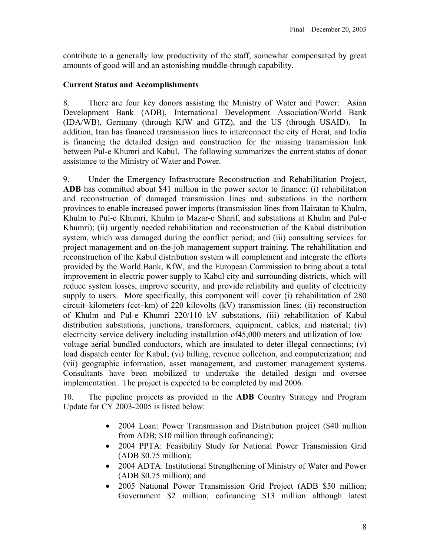contribute to a generally low productivity of the staff, somewhat compensated by great amounts of good will and an astonishing muddle-through capability.

## **Current Status and Accomplishments**

8. There are four key donors assisting the Ministry of Water and Power: Asian Development Bank (ADB), International Development Association/World Bank (IDA/WB), Germany (through KfW and GTZ), and the US (through USAID). In addition, Iran has financed transmission lines to interconnect the city of Herat, and India is financing the detailed design and construction for the missing transmission link between Pul-e Khumri and Kabul. The following summarizes the current status of donor assistance to the Ministry of Water and Power.

9. Under the Emergency Infrastructure Reconstruction and Rehabilitation Project, **ADB** has committed about \$41 million in the power sector to finance: (i) rehabilitation and reconstruction of damaged transmission lines and substations in the northern provinces to enable increased power imports (transmission lines from Hairatan to Khulm, Khulm to Pul-e Khumri, Khulm to Mazar-e Sharif, and substations at Khulm and Pul-e Khumri); (ii) urgently needed rehabilitation and reconstruction of the Kabul distribution system, which was damaged during the conflict period; and (iii) consulting services for project management and on-the-job management support training. The rehabilitation and reconstruction of the Kabul distribution system will complement and integrate the efforts provided by the World Bank, KfW, and the European Commission to bring about a total improvement in electric power supply to Kabul city and surrounding districts, which will reduce system losses, improve security, and provide reliability and quality of electricity supply to users. More specifically, this component will cover (i) rehabilitation of 280 circuit–kilometers (cct–km) of 220 kilovolts (kV) transmission lines; (ii) reconstruction of Khulm and Pul-e Khumri 220/110 kV substations, (iii) rehabilitation of Kabul distribution substations, junctions, transformers, equipment, cables, and material; (iv) electricity service delivery including installation of45,000 meters and utilization of low– voltage aerial bundled conductors, which are insulated to deter illegal connections; (v) load dispatch center for Kabul; (vi) billing, revenue collection, and computerization; and (vii) geographic information, asset management, and customer management systems. Consultants have been mobilized to undertake the detailed design and oversee implementation. The project is expected to be completed by mid 2006.

10. The pipeline projects as provided in the **ADB** Country Strategy and Program Update for CY 2003-2005 is listed below:

- 2004 Loan: Power Transmission and Distribution project (\$40 million from ADB; \$10 million through cofinancing);
- 2004 PPTA: Feasibility Study for National Power Transmission Grid (ADB \$0.75 million);
- 2004 ADTA: Institutional Strengthening of Ministry of Water and Power (ADB \$0.75 million); and
- 2005 National Power Transmission Grid Project (ADB \$50 million; Government \$2 million; cofinancing \$13 million although latest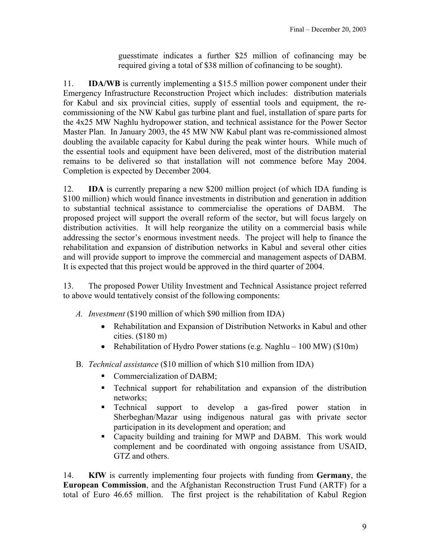guesstimate indicates a further \$25 million of cofinancing may be required giving a total of \$38 million of cofinancing to be sought).

11. **IDA/WB** is currently implementing a \$15.5 million power component under their Emergency Infrastructure Reconstruction Project which includes: distribution materials for Kabul and six provincial cities, supply of essential tools and equipment, the recommissioning of the NW Kabul gas turbine plant and fuel, installation of spare parts for the 4x25 MW Naghlu hydropower station, and technical assistance for the Power Sector Master Plan. In January 2003, the 45 MW NW Kabul plant was re-commissioned almost doubling the available capacity for Kabul during the peak winter hours. While much of the essential tools and equipment have been delivered, most of the distribution material remains to be delivered so that installation will not commence before May 2004. Completion is expected by December 2004.

12. **IDA** is currently preparing a new \$200 million project (of which IDA funding is \$100 million) which would finance investments in distribution and generation in addition to substantial technical assistance to commercialise the operations of DABM. The proposed project will support the overall reform of the sector, but will focus largely on distribution activities. It will help reorganize the utility on a commercial basis while addressing the sector's enormous investment needs. The project will help to finance the rehabilitation and expansion of distribution networks in Kabul and several other cities and will provide support to improve the commercial and management aspects of DABM. It is expected that this project would be approved in the third quarter of 2004.

13. The proposed Power Utility Investment and Technical Assistance project referred to above would tentatively consist of the following components:

- *A. Investment* (\$190 million of which \$90 million from IDA)
	- Rehabilitation and Expansion of Distribution Networks in Kabul and other cities. (\$180 m)
	- Rehabilitation of Hydro Power stations (e.g. Naghlu 100 MW) (\$10m)
- B. *Technical assistance* (\$10 million of which \$10 million from IDA)
	- Commercialization of DABM;
	- Technical support for rehabilitation and expansion of the distribution networks;
	- **Technical support to develop a gas-fired power station in** Sherbeghan/Mazar using indigenous natural gas with private sector participation in its development and operation; and
	- Capacity building and training for MWP and DABM. This work would complement and be coordinated with ongoing assistance from USAID, GTZ and others.

14. **KfW** is currently implementing four projects with funding from **Germany**, the **European Commission**, and the Afghanistan Reconstruction Trust Fund (ARTF) for a total of Euro 46.65 million. The first project is the rehabilitation of Kabul Region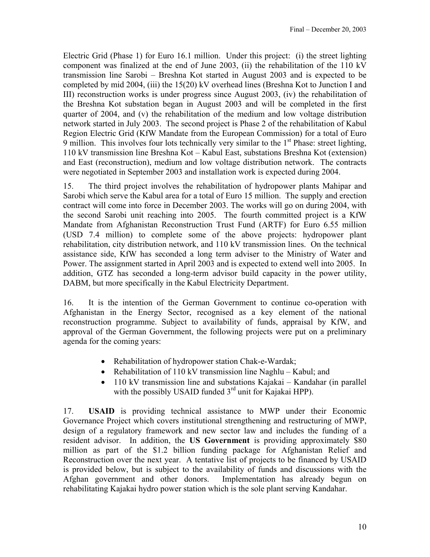Electric Grid (Phase 1) for Euro 16.1 million. Under this project: (i) the street lighting component was finalized at the end of June 2003, (ii) the rehabilitation of the 110 kV transmission line Sarobi – Breshna Kot started in August 2003 and is expected to be completed by mid 2004, (iii) the 15(20) kV overhead lines (Breshna Kot to Junction I and III) reconstruction works is under progress since August 2003, (iv) the rehabilitation of the Breshna Kot substation began in August 2003 and will be completed in the first quarter of 2004, and (v) the rehabilitation of the medium and low voltage distribution network started in July 2003. The second project is Phase 2 of the rehabilitation of Kabul Region Electric Grid (KfW Mandate from the European Commission) for a total of Euro 9 million. This involves four lots technically very similar to the  $1<sup>st</sup>$  Phase: street lighting, 110 kV transmission line Breshna Kot – Kabul East, substations Breshna Kot (extension) and East (reconstruction), medium and low voltage distribution network. The contracts were negotiated in September 2003 and installation work is expected during 2004.

15. The third project involves the rehabilitation of hydropower plants Mahipar and Sarobi which serve the Kabul area for a total of Euro 15 million. The supply and erection contract will come into force in December 2003. The works will go on during 2004, with the second Sarobi unit reaching into 2005. The fourth committed project is a KfW Mandate from Afghanistan Reconstruction Trust Fund (ARTF) for Euro 6.55 million (USD 7.4 million) to complete some of the above projects: hydropower plant rehabilitation, city distribution network, and 110 kV transmission lines. On the technical assistance side, KfW has seconded a long term adviser to the Ministry of Water and Power. The assignment started in April 2003 and is expected to extend well into 2005. In addition, GTZ has seconded a long-term advisor build capacity in the power utility, DABM, but more specifically in the Kabul Electricity Department.

16. It is the intention of the German Government to continue co-operation with Afghanistan in the Energy Sector, recognised as a key element of the national reconstruction programme. Subject to availability of funds, appraisal by KfW, and approval of the German Government, the following projects were put on a preliminary agenda for the coming years:

- Rehabilitation of hydropower station Chak-e-Wardak;
- Rehabilitation of 110 kV transmission line Naghlu Kabul; and
- 110 kV transmission line and substations Kajakai Kandahar (in parallel with the possibly USAID funded  $3<sup>rd</sup>$  unit for Kajakai HPP).

17. **USAID** is providing technical assistance to MWP under their Economic Governance Project which covers institutional strengthening and restructuring of MWP, design of a regulatory framework and new sector law and includes the funding of a resident advisor. In addition, the **US Government** is providing approximately \$80 million as part of the \$1.2 billion funding package for Afghanistan Relief and Reconstruction over the next year. A tentative list of projects to be financed by USAID is provided below, but is subject to the availability of funds and discussions with the Afghan government and other donors. Implementation has already begun on rehabilitating Kajakai hydro power station which is the sole plant serving Kandahar.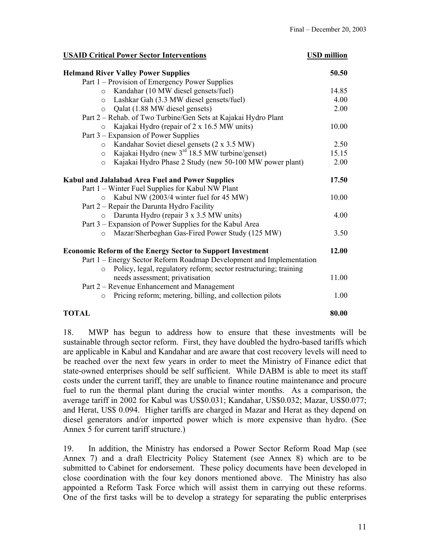#### **USAID Critical Power Sector Interventions USD million**

| <b>Helmand River Valley Power Supplies</b>                                  | 50.50 |
|-----------------------------------------------------------------------------|-------|
| Part 1 – Provision of Emergency Power Supplies                              |       |
| Kandahar (10 MW diesel gensets/fuel)<br>$\circ$                             | 14.85 |
| Lashkar Gah (3.3 MW diesel gensets/fuel)<br>$\circ$                         | 4.00  |
| Qalat (1.88 MW diesel gensets)<br>$\circ$                                   | 2.00  |
| Part 2 - Rehab. of Two Turbine/Gen Sets at Kajakai Hydro Plant              |       |
| Kajakai Hydro (repair of 2 x 16.5 MW units)<br>$\circ$                      | 10.00 |
| Part 3 – Expansion of Power Supplies                                        |       |
| Kandahar Soviet diesel gensets (2 x 3.5 MW)<br>$\circ$                      | 2.50  |
| Kajakai Hydro (new 3 <sup>rd</sup> 18.5 MW turbine/genset)<br>$\circ$       | 15.15 |
| Kajakai Hydro Phase 2 Study (new 50-100 MW power plant)<br>$\circ$          | 2.00  |
| <b>Kabul and Jalalabad Area Fuel and Power Supplies</b>                     | 17.50 |
| Part 1 – Winter Fuel Supplies for Kabul NW Plant                            |       |
| Kabul NW (2003/4 winter fuel for 45 MW)<br>$\circ$                          | 10.00 |
| Part 2 – Repair the Darunta Hydro Facility                                  |       |
| Darunta Hydro (repair 3 x 3.5 MW units)<br>$\circ$                          | 4.00  |
| Part 3 – Expansion of Power Supplies for the Kabul Area                     |       |
| Mazar/Sherbeghan Gas-Fired Power Study (125 MW)<br>$\circ$                  | 3.50  |
| <b>Economic Reform of the Energy Sector to Support Investment</b>           | 12.00 |
| Part 1 – Energy Sector Reform Roadmap Development and Implementation        |       |
| Policy, legal, regulatory reform; sector restructuring; training<br>$\circ$ |       |
| needs assessment; privatisation                                             | 11.00 |
| Part 2 – Revenue Enhancement and Management                                 |       |
| Pricing reform; metering, billing, and collection pilots<br>$\circ$         | 1.00  |
| <b>TOTAL</b>                                                                | 80.00 |

18. MWP has begun to address how to ensure that these investments will be sustainable through sector reform. First, they have doubled the hydro-based tariffs which are applicable in Kabul and Kandahar and are aware that cost recovery levels will need to be reached over the next few years in order to meet the Ministry of Finance edict that state-owned enterprises should be self sufficient. While DABM is able to meet its staff costs under the current tariff, they are unable to finance routine maintenance and procure fuel to run the thermal plant during the crucial winter months. As a comparison, the average tariff in 2002 for Kabul was US\$0.031; Kandahar, US\$0.032; Mazar, US\$0.077; and Herat, US\$ 0.094. Higher tariffs are charged in Mazar and Herat as they depend on diesel generators and/or imported power which is more expensive than hydro. (See Annex 5 for current tariff structure.)

19. In addition, the Ministry has endorsed a Power Sector Reform Road Map (see Annex 7) and a draft Electricity Policy Statement (see Annex 8) which are to be submitted to Cabinet for endorsement. These policy documents have been developed in close coordination with the four key donors mentioned above. The Ministry has also appointed a Reform Task Force which will assist them in carrying out these reforms. One of the first tasks will be to develop a strategy for separating the public enterprises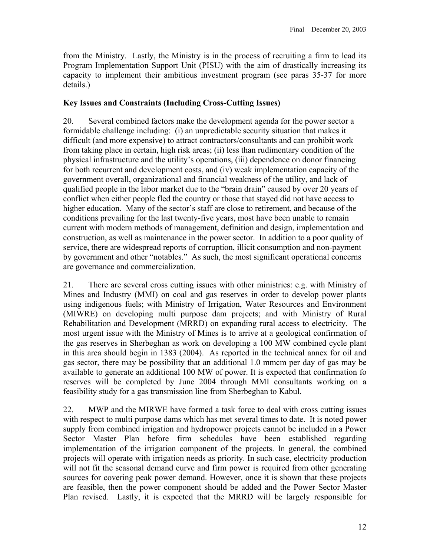from the Ministry. Lastly, the Ministry is in the process of recruiting a firm to lead its Program Implementation Support Unit (PISU) with the aim of drastically increasing its capacity to implement their ambitious investment program (see paras 35-37 for more details.)

## **Key Issues and Constraints (Including Cross-Cutting Issues)**

20. Several combined factors make the development agenda for the power sector a formidable challenge including: (i) an unpredictable security situation that makes it difficult (and more expensive) to attract contractors/consultants and can prohibit work from taking place in certain, high risk areas; (ii) less than rudimentary condition of the physical infrastructure and the utility's operations, (iii) dependence on donor financing for both recurrent and development costs, and (iv) weak implementation capacity of the government overall, organizational and financial weakness of the utility, and lack of qualified people in the labor market due to the "brain drain" caused by over 20 years of conflict when either people fled the country or those that stayed did not have access to higher education. Many of the sector's staff are close to retirement, and because of the conditions prevailing for the last twenty-five years, most have been unable to remain current with modern methods of management, definition and design, implementation and construction, as well as maintenance in the power sector. In addition to a poor quality of service, there are widespread reports of corruption, illicit consumption and non-payment by government and other "notables." As such, the most significant operational concerns are governance and commercialization.

21. There are several cross cutting issues with other ministries: e.g. with Ministry of Mines and Industry (MMI) on coal and gas reserves in order to develop power plants using indigenous fuels; with Ministry of Irrigation, Water Resources and Environment (MIWRE) on developing multi purpose dam projects; and with Ministry of Rural Rehabilitation and Development (MRRD) on expanding rural access to electricity. The most urgent issue with the Ministry of Mines is to arrive at a geological confirmation of the gas reserves in Sherbeghan as work on developing a 100 MW combined cycle plant in this area should begin in 1383 (2004). As reported in the technical annex for oil and gas sector, there may be possibility that an additional 1.0 mmcm per day of gas may be available to generate an additional 100 MW of power. It is expected that confirmation fo reserves will be completed by June 2004 through MMI consultants working on a feasibility study for a gas transmission line from Sherbeghan to Kabul.

22. MWP and the MIRWE have formed a task force to deal with cross cutting issues with respect to multi purpose dams which has met several times to date. It is noted power supply from combined irrigation and hydropower projects cannot be included in a Power Sector Master Plan before firm schedules have been established regarding implementation of the irrigation component of the projects. In general, the combined projects will operate with irrigation needs as priority. In such case, electricity production will not fit the seasonal demand curve and firm power is required from other generating sources for covering peak power demand. However, once it is shown that these projects are feasible, then the power component should be added and the Power Sector Master Plan revised.Lastly, it is expected that the MRRD will be largely responsible for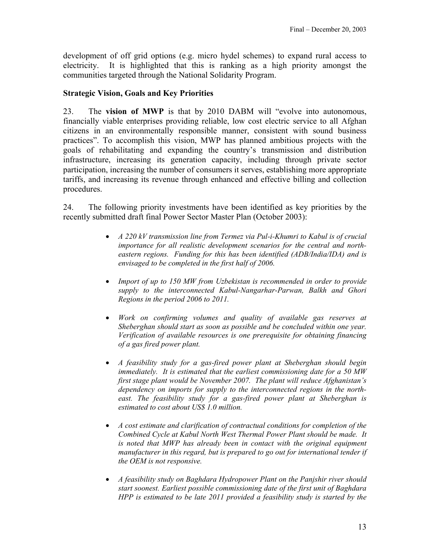development of off grid options (e.g. micro hydel schemes) to expand rural access to electricity. It is highlighted that this is ranking as a high priority amongst the communities targeted through the National Solidarity Program.

## **Strategic Vision, Goals and Key Priorities**

23. The **vision of MWP** is that by 2010 DABM will "evolve into autonomous, financially viable enterprises providing reliable, low cost electric service to all Afghan citizens in an environmentally responsible manner, consistent with sound business practices". To accomplish this vision, MWP has planned ambitious projects with the goals of rehabilitating and expanding the country's transmission and distribution infrastructure, increasing its generation capacity, including through private sector participation, increasing the number of consumers it serves, establishing more appropriate tariffs, and increasing its revenue through enhanced and effective billing and collection procedures.

24. The following priority investments have been identified as key priorities by the recently submitted draft final Power Sector Master Plan (October 2003):

- *A 220 kV transmission line from Termez via Pul-i-Khumri to Kabul is of crucial importance for all realistic development scenarios for the central and northeastern regions. Funding for this has been identified (ADB/India/IDA) and is envisaged to be completed in the first half of 2006.*
- *Import of up to 150 MW from Uzbekistan is recommended in order to provide supply to the interconnected Kabul-Nangarhar-Parwan, Balkh and Ghori Regions in the period 2006 to 2011.*
- *Work on confirming volumes and quality of available gas reserves at Sheberghan should start as soon as possible and be concluded within one year. Verification of available resources is one prerequisite for obtaining financing of a gas fired power plant.*
- *A feasibility study for a gas-fired power plant at Sheberghan should begin immediately. It is estimated that the earliest commissioning date for a 50 MW first stage plant would be November 2007. The plant will reduce Afghanistan's dependency on imports for supply to the interconnected regions in the northeast. The feasibility study for a gas-fired power plant at Sheberghan is estimated to cost about US\$ 1.0 million.*
- *A cost estimate and clarification of contractual conditions for completion of the Combined Cycle at Kabul North West Thermal Power Plant should be made. It is noted that MWP has already been in contact with the original equipment manufacturer in this regard, but is prepared to go out for international tender if the OEM is not responsive.*
- *A feasibility study on Baghdara Hydropower Plant on the Panjshir river should start soonest. Earliest possible commissioning date of the first unit of Baghdara HPP is estimated to be late 2011 provided a feasibility study is started by the*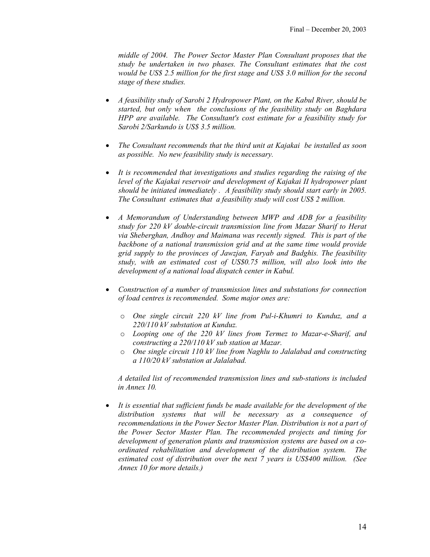*middle of 2004. The Power Sector Master Plan Consultant proposes that the study be undertaken in two phases. The Consultant estimates that the cost would be US\$ 2.5 million for the first stage and US\$ 3.0 million for the second stage of these studies.* 

- *A feasibility study of Sarobi 2 Hydropower Plant, on the Kabul River, should be started, but only when the conclusions of the feasibility study on Baghdara HPP are available. The Consultant's cost estimate for a feasibility study for Sarobi 2/Sarkundo is US\$ 3.5 million.*
- *The Consultant recommends that the third unit at Kajakai be installed as soon as possible. No new feasibility study is necessary.*
- *It is recommended that investigations and studies regarding the raising of the level of the Kajakai reservoir and development of Kajakai II hydropower plant should be initiated immediately . A feasibility study should start early in 2005. The Consultant estimates that a feasibility study will cost US\$ 2 million.*
- *A Memorandum of Understanding between MWP and ADB for a feasibility study for 220 kV double-circuit transmission line from Mazar Sharif to Herat via Sheberghan, Andhoy and Maimana was recently signed. This is part of the backbone of a national transmission grid and at the same time would provide grid supply to the provinces of Jawzjan, Faryab and Badghis. The feasibility study, with an estimated cost of US\$0.75 million, will also look into the development of a national load dispatch center in Kabul.*
- *Construction of a number of transmission lines and substations for connection of load centres is recommended. Some major ones are:* 
	- o *One single circuit 220 kV line from Pul-i-Khumri to Kunduz, and a 220/110 kV substation at Kunduz.*
	- o *Looping one of the 220 kV lines from Termez to Mazar-e-Sharif, and constructing a 220/110 kV sub station at Mazar.*
	- o *One single circuit 110 kV line from Naghlu to Jalalabad and constructing a 110/20 kV substation at Jalalabad.*

*A detailed list of recommended transmission lines and sub-stations is included in Annex 10.* 

• *It is essential that sufficient funds be made available for the development of the distribution systems that will be necessary as a consequence of recommendations in the Power Sector Master Plan. Distribution is not a part of the Power Sector Master Plan. The recommended projects and timing for development of generation plants and transmission systems are based on a coordinated rehabilitation and development of the distribution system. The estimated cost of distribution over the next 7 years is US\$400 million. (See Annex 10 for more details.)*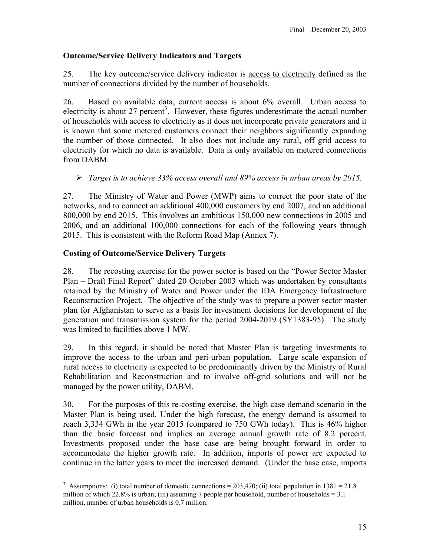## **Outcome/Service Delivery Indicators and Targets**

25. The key outcome/service delivery indicator is access to electricity defined as the number of connections divided by the number of households.

26. Based on available data, current access is about 6% overall. Urban access to electricity is about 27 percent<sup>3</sup>. However, these figures underestimate the actual number of households with access to electricity as it does not incorporate private generators and it is known that some metered customers connect their neighbors significantly expanding the number of those connected. It also does not include any rural, off grid access to electricity for which no data is available. Data is only available on metered connections from DABM.

¾ *Target is to achieve 33% access overall and 89% access in urban areas by 2015.* 

27. The Ministry of Water and Power (MWP) aims to correct the poor state of the networks, and to connect an additional 400,000 customers by end 2007, and an additional 800,000 by end 2015. This involves an ambitious 150,000 new connections in 2005 and 2006, and an additional 100,000 connections for each of the following years through 2015. This is consistent with the Reform Road Map (Annex 7).

## **Costing of Outcome/Service Delivery Targets**

28. The recosting exercise for the power sector is based on the "Power Sector Master Plan – Draft Final Report" dated 20 October 2003 which was undertaken by consultants retained by the Ministry of Water and Power under the IDA Emergency Infrastructure Reconstruction Project. The objective of the study was to prepare a power sector master plan for Afghanistan to serve as a basis for investment decisions for development of the generation and transmission system for the period 2004-2019 (SY1383-95). The study was limited to facilities above 1 MW.

29. In this regard, it should be noted that Master Plan is targeting investments to improve the access to the urban and peri-urban population. Large scale expansion of rural access to electricity is expected to be predominantly driven by the Ministry of Rural Rehabilitation and Reconstruction and to involve off-grid solutions and will not be managed by the power utility, DABM.

30. For the purposes of this re-costing exercise, the high case demand scenario in the Master Plan is being used. Under the high forecast, the energy demand is assumed to reach 3,334 GWh in the year 2015 (compared to 750 GWh today). This is 46% higher than the basic forecast and implies an average annual growth rate of 8.2 percent. Investments proposed under the base case are being brought forward in order to accommodate the higher growth rate. In addition, imports of power are expected to continue in the latter years to meet the increased demand. (Under the base case, imports

 $\overline{a}$ <sup>3</sup> Assumptions: (i) total number of domestic connections =  $203,470$ ; (ii) total population in 1381 =  $21.8$ million of which 22.8% is urban; (iii) assuming 7 people per household, number of households  $= 3.1$ million, number of urban households is 0.7 million.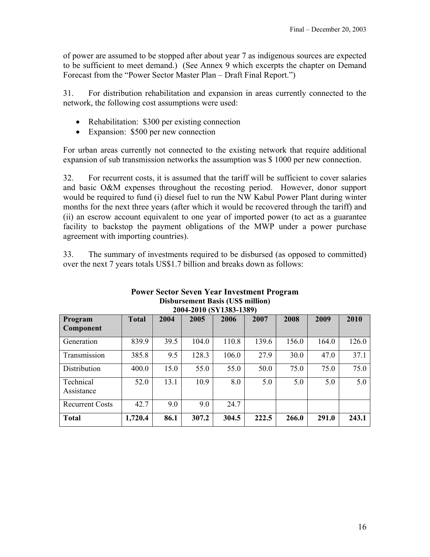of power are assumed to be stopped after about year 7 as indigenous sources are expected to be sufficient to meet demand.) (See Annex 9 which excerpts the chapter on Demand Forecast from the "Power Sector Master Plan – Draft Final Report.")

31. For distribution rehabilitation and expansion in areas currently connected to the network, the following cost assumptions were used:

- Rehabilitation: \$300 per existing connection
- Expansion: \$500 per new connection

For urban areas currently not connected to the existing network that require additional expansion of sub transmission networks the assumption was \$ 1000 per new connection.

32. For recurrent costs, it is assumed that the tariff will be sufficient to cover salaries and basic O&M expenses throughout the recosting period. However, donor support would be required to fund (i) diesel fuel to run the NW Kabul Power Plant during winter months for the next three years (after which it would be recovered through the tariff) and (ii) an escrow account equivalent to one year of imported power (to act as a guarantee facility to backstop the payment obligations of the MWP under a power purchase agreement with importing countries).

33. The summary of investments required to be disbursed (as opposed to committed) over the next 7 years totals US\$1.7 billion and breaks down as follows:

| 2004-2010 (SY1383-1389) |              |      |       |       |       |       |       |       |
|-------------------------|--------------|------|-------|-------|-------|-------|-------|-------|
| Program<br>Component    | <b>Total</b> | 2004 | 2005  | 2006  | 2007  | 2008  | 2009  | 2010  |
| Generation              | 839.9        | 39.5 | 104.0 | 110.8 | 139.6 | 156.0 | 164.0 | 126.0 |
| Transmission            | 385.8        | 9.5  | 128.3 | 106.0 | 27.9  | 30.0  | 47.0  | 37.1  |
| Distribution            | 400.0        | 15.0 | 55.0  | 55.0  | 50.0  | 75.0  | 75.0  | 75.0  |
| Technical<br>Assistance | 52.0         | 13.1 | 10.9  | 8.0   | 5.0   | 5.0   | 5.0   | 5.0   |
| <b>Recurrent Costs</b>  | 42.7         | 9.0  | 9.0   | 24.7  |       |       |       |       |
| <b>Total</b>            | 1,720.4      | 86.1 | 307.2 | 304.5 | 222.5 | 266.0 | 291.0 | 243.1 |

## **Power Sector Seven Year Investment Program Disbursement Basis (US\$ million)**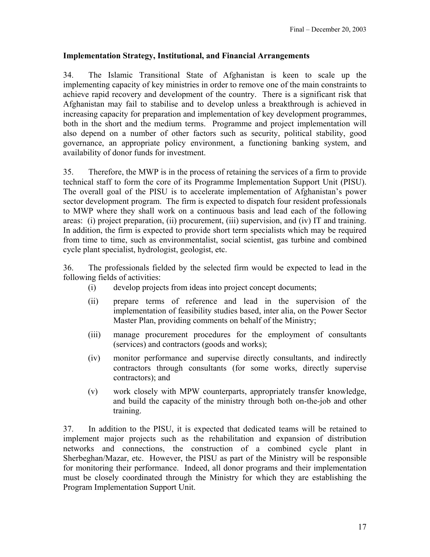## **Implementation Strategy, Institutional, and Financial Arrangements**

34. The Islamic Transitional State of Afghanistan is keen to scale up the implementing capacity of key ministries in order to remove one of the main constraints to achieve rapid recovery and development of the country. There is a significant risk that Afghanistan may fail to stabilise and to develop unless a breakthrough is achieved in increasing capacity for preparation and implementation of key development programmes, both in the short and the medium terms. Programme and project implementation will also depend on a number of other factors such as security, political stability, good governance, an appropriate policy environment, a functioning banking system, and availability of donor funds for investment.

35. Therefore, the MWP is in the process of retaining the services of a firm to provide technical staff to form the core of its Programme Implementation Support Unit (PISU). The overall goal of the PISU is to accelerate implementation of Afghanistan's power sector development program. The firm is expected to dispatch four resident professionals to MWP where they shall work on a continuous basis and lead each of the following areas: (i) project preparation, (ii) procurement, (iii) supervision, and (iv) IT and training. In addition, the firm is expected to provide short term specialists which may be required from time to time, such as environmentalist, social scientist, gas turbine and combined cycle plant specialist, hydrologist, geologist, etc.

36. The professionals fielded by the selected firm would be expected to lead in the following fields of activities:

- (i) develop projects from ideas into project concept documents;
- (ii) prepare terms of reference and lead in the supervision of the implementation of feasibility studies based, inter alia, on the Power Sector Master Plan, providing comments on behalf of the Ministry;
- (iii) manage procurement procedures for the employment of consultants (services) and contractors (goods and works);
- (iv) monitor performance and supervise directly consultants, and indirectly contractors through consultants (for some works, directly supervise contractors); and
- (v) work closely with MPW counterparts, appropriately transfer knowledge, and build the capacity of the ministry through both on-the-job and other training.

37. In addition to the PISU, it is expected that dedicated teams will be retained to implement major projects such as the rehabilitation and expansion of distribution networks and connections, the construction of a combined cycle plant in Sherbeghan/Mazar, etc. However, the PISU as part of the Ministry will be responsible for monitoring their performance. Indeed, all donor programs and their implementation must be closely coordinated through the Ministry for which they are establishing the Program Implementation Support Unit.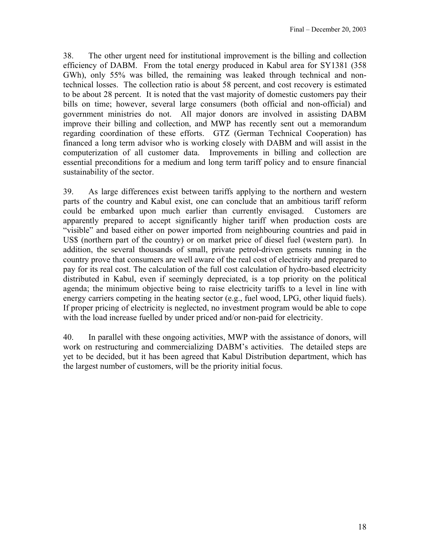38. The other urgent need for institutional improvement is the billing and collection efficiency of DABM. From the total energy produced in Kabul area for SY1381 (358 GWh), only 55% was billed, the remaining was leaked through technical and nontechnical losses. The collection ratio is about 58 percent, and cost recovery is estimated to be about 28 percent. It is noted that the vast majority of domestic customers pay their bills on time; however, several large consumers (both official and non-official) and government ministries do not. All major donors are involved in assisting DABM improve their billing and collection, and MWP has recently sent out a memorandum regarding coordination of these efforts. GTZ (German Technical Cooperation) has financed a long term advisor who is working closely with DABM and will assist in the computerization of all customer data. Improvements in billing and collection are essential preconditions for a medium and long term tariff policy and to ensure financial sustainability of the sector.

39. As large differences exist between tariffs applying to the northern and western parts of the country and Kabul exist, one can conclude that an ambitious tariff reform could be embarked upon much earlier than currently envisaged. Customers are apparently prepared to accept significantly higher tariff when production costs are "visible" and based either on power imported from neighbouring countries and paid in US\$ (northern part of the country) or on market price of diesel fuel (western part). In addition, the several thousands of small, private petrol-driven gensets running in the country prove that consumers are well aware of the real cost of electricity and prepared to pay for its real cost. The calculation of the full cost calculation of hydro-based electricity distributed in Kabul, even if seemingly depreciated, is a top priority on the political agenda; the minimum objective being to raise electricity tariffs to a level in line with energy carriers competing in the heating sector (e.g., fuel wood, LPG, other liquid fuels). If proper pricing of electricity is neglected, no investment program would be able to cope with the load increase fuelled by under priced and/or non-paid for electricity.

40. In parallel with these ongoing activities, MWP with the assistance of donors, will work on restructuring and commercializing DABM's activities. The detailed steps are yet to be decided, but it has been agreed that Kabul Distribution department, which has the largest number of customers, will be the priority initial focus.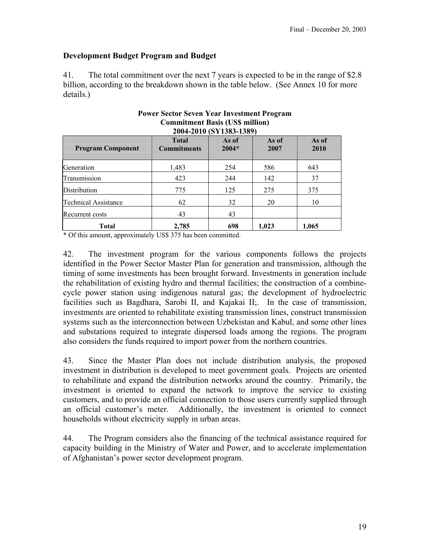## **Development Budget Program and Budget**

41. The total commitment over the next 7 years is expected to be in the range of \$2.8 billion, according to the breakdown shown in the table below. (See Annex 10 for more details.)

| <b>Program Component</b>    | <b>Total</b><br><b>Commitments</b> | As of<br>$2004*$ | As of<br>2007 | As of<br>2010 |
|-----------------------------|------------------------------------|------------------|---------------|---------------|
| Generation                  | 1,483                              | 254              | 586           | 643           |
| Transmission                | 423                                | 244              | 142           | 37            |
| Distribution                | 775                                | 125              | 275           | 375           |
| <b>Technical Assistance</b> | 62                                 | 32               | 20            | 10            |
| Recurrent costs             | 43                                 | 43               |               |               |
| Total                       | 2,785                              | 698              | 1,023         | 1,065         |

## **Power Sector Seven Year Investment Program Commitment Basis (US\$ million)**

\* Of this amount, approximately US\$ 375 has been committed.

42. The investment program for the various components follows the projects identified in the Power Sector Master Plan for generation and transmission, although the timing of some investments has been brought forward. Investments in generation include the rehabilitation of existing hydro and thermal facilities; the construction of a combinecycle power station using indigenous natural gas; the development of hydroelectric facilities such as Bagdhara, Sarobi II, and Kajakai II;. In the case of transmission, investments are oriented to rehabilitate existing transmission lines, construct transmission systems such as the interconnection between Uzbekistan and Kabul, and some other lines and substations required to integrate dispersed loads among the regions. The program also considers the funds required to import power from the northern countries.

43. Since the Master Plan does not include distribution analysis, the proposed investment in distribution is developed to meet government goals. Projects are oriented to rehabilitate and expand the distribution networks around the country. Primarily, the investment is oriented to expand the network to improve the service to existing customers, and to provide an official connection to those users currently supplied through an official customer's meter. Additionally, the investment is oriented to connect households without electricity supply in urban areas.

44. The Program considers also the financing of the technical assistance required for capacity building in the Ministry of Water and Power, and to accelerate implementation of Afghanistan's power sector development program.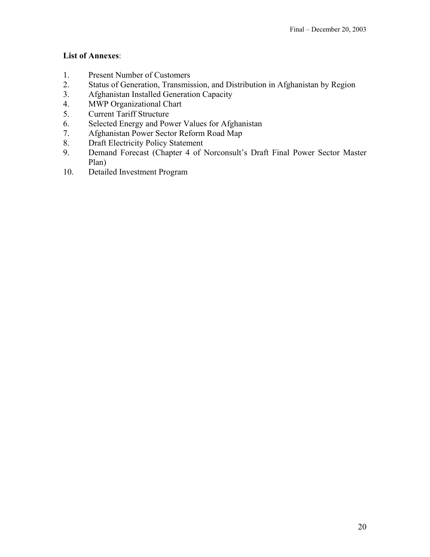## **List of Annexes**:

- 1. Present Number of Customers
- 2. Status of Generation, Transmission, and Distribution in Afghanistan by Region
- 3. Afghanistan Installed Generation Capacity
- 4. MWP Organizational Chart
- 5. Current Tariff Structure
- 6. Selected Energy and Power Values for Afghanistan
- 7. Afghanistan Power Sector Reform Road Map
- 8. Draft Electricity Policy Statement
- 9. Demand Forecast (Chapter 4 of Norconsult's Draft Final Power Sector Master Plan)
- 10. Detailed Investment Program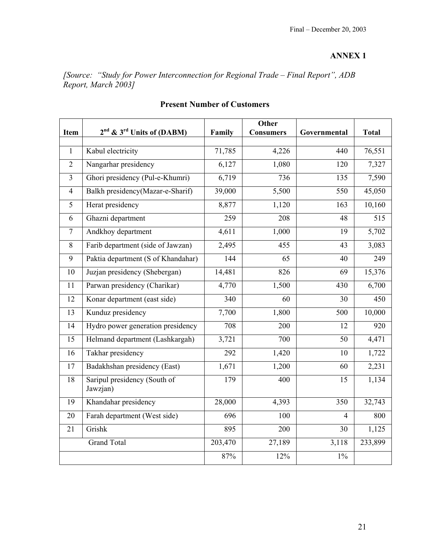*[Source: "Study for Power Interconnection for Regional Trade – Final Report", ADB Report, March 2003]* 

| Item           | 2 <sup>nd</sup> & 3 <sup>rd</sup> Units of (DABM) | Family  | <b>Other</b><br><b>Consumers</b> | Governmental   | <b>Total</b> |
|----------------|---------------------------------------------------|---------|----------------------------------|----------------|--------------|
|                |                                                   |         |                                  |                |              |
| $\mathbf{1}$   | Kabul electricity                                 | 71,785  | 4,226                            | 440            | 76,551       |
| $\overline{2}$ | Nangarhar presidency                              | 6,127   | 1,080                            | 120            | 7,327        |
| $\overline{3}$ | Ghori presidency (Pul-e-Khumri)                   | 6,719   | 736                              | 135            | 7,590        |
| $\overline{4}$ | Balkh presidency(Mazar-e-Sharif)                  | 39,000  | 5,500                            | 550            | 45,050       |
| 5              | Herat presidency                                  | 8,877   | 1,120                            | 163            | 10,160       |
| 6              | Ghazni department                                 | 259     | 208                              | 48             | 515          |
| $\tau$         | Andkhoy department                                | 4,611   | 1,000                            | 19             | 5,702        |
| 8              | Farib department (side of Jawzan)                 | 2,495   | 455                              | 43             | 3,083        |
| 9              | Paktia department (S of Khandahar)                | 144     | 65                               | 40             | 249          |
| 10             | Juzjan presidency (Shebergan)                     | 14,481  | 826                              | 69             | 15,376       |
| 11             | Parwan presidency (Charikar)                      | 4,770   | 1,500                            | 430            | 6,700        |
| 12             | Konar department (east side)                      | 340     | 60                               | 30             | 450          |
| 13             | Kunduz presidency                                 | 7,700   | 1,800                            | 500            | 10,000       |
| 14             | Hydro power generation presidency                 | 708     | 200                              | 12             | 920          |
| 15             | Helmand department (Lashkargah)                   | 3,721   | 700                              | 50             | 4,471        |
| 16             | Takhar presidency                                 | 292     | 1,420                            | 10             | 1,722        |
| 17             | Badakhshan presidency (East)                      | 1,671   | 1,200                            | 60             | 2,231        |
| 18             | Saripul presidency (South of<br>Jawzjan)          | 179     | 400                              | 15             | 1,134        |
| 19             | Khandahar presidency                              | 28,000  | 4,393                            | 350            | 32,743       |
| 20             | Farah department (West side)                      | 696     | 100                              | $\overline{4}$ | 800          |
| 21             | Grishk                                            | 895     | 200                              | 30             | 1,125        |
|                | <b>Grand Total</b>                                | 203,470 | 27,189                           | 3,118          | 233,899      |
|                |                                                   | 87%     | 12%                              | $1\%$          |              |

## **Present Number of Customers**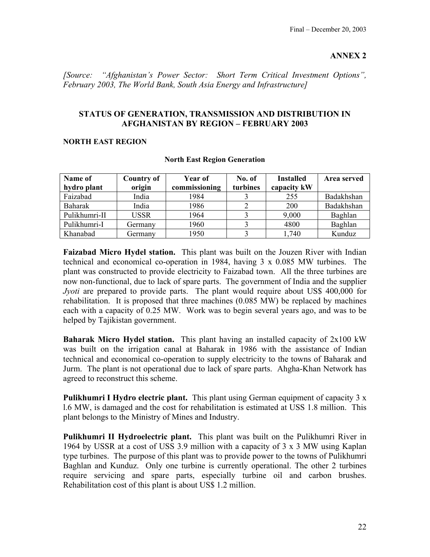*[Source: "Afghanistan's Power Sector: Short Term Critical Investment Options", February 2003, The World Bank, South Asia Energy and Infrastructure]*

## **STATUS OF GENERATION, TRANSMISSION AND DISTRIBUTION IN AFGHANISTAN BY REGION – FEBRUARY 2003**

#### **NORTH EAST REGION**

| Name of<br>hydro plant | <b>Country of</b><br>origin | Year of<br>commissioning | No. of<br>turbines | <b>Installed</b><br>capacity kW | Area served |
|------------------------|-----------------------------|--------------------------|--------------------|---------------------------------|-------------|
| Faizabad               | India                       | 1984                     |                    | 255                             | Badakhshan  |
| Baharak                | India                       | 1986                     |                    | 200                             | Badakhshan  |
| Pulikhumri-II          | <b>USSR</b>                 | 1964                     |                    | 9,000                           | Baghlan     |
| Pulikhumri-I           | Germany                     | 1960                     |                    | 4800                            | Baghlan     |
| Khanabad               | Germany                     | 1950                     |                    | 1,740                           | Kunduz      |

#### **North East Region Generation**

**Faizabad Micro Hydel station.** This plant was built on the Jouzen River with Indian technical and economical co-operation in 1984, having 3 x 0.085 MW turbines. The plant was constructed to provide electricity to Faizabad town. All the three turbines are now non-functional, due to lack of spare parts. The government of India and the supplier *Jyoti* are prepared to provide parts. The plant would require about US\$ 400,000 for rehabilitation. It is proposed that three machines (0.085 MW) be replaced by machines each with a capacity of 0.25 MW. Work was to begin several years ago, and was to be helped by Tajikistan government.

**Baharak Micro Hydel station.** This plant having an installed capacity of 2x100 kW was built on the irrigation canal at Baharak in 1986 with the assistance of Indian technical and economical co-operation to supply electricity to the towns of Baharak and Jurm. The plant is not operational due to lack of spare parts. Ahgha-Khan Network has agreed to reconstruct this scheme.

**Pulikhumri I Hydro electric plant.** This plant using German equipment of capacity 3 x l.6 MW, is damaged and the cost for rehabilitation is estimated at USS 1.8 million. This plant belongs to the Ministry of Mines and Industry.

**Pulikhumri II Hydroelectric plant.** This plant was built on the Pulikhumri River in 1964 by USSR at a cost of USS 3.9 million with a capacity of 3 x 3 MW using Kaplan type turbines. The purpose of this plant was to provide power to the towns of Pulikhumri Baghlan and Kunduz. Only one turbine is currently operational. The other 2 turbines require servicing and spare parts, especially turbine oil and carbon brushes. Rehabilitation cost of this plant is about US\$ 1.2 million.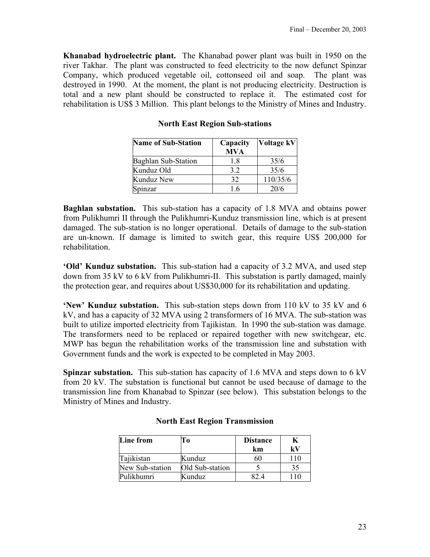**Khanabad hydroelectric plant.** The Khanabad power plant was built in 1950 on the river Takhar. The plant was constructed to feed electricity to the now defunct Spinzar Company, which produced vegetable oil, cottonseed oil and soap. The plant was destroyed in 1990. At the moment, the plant is not producing electricity. Destruction is total and a new plant should be constructed to replace it. The estimated cost for rehabilitation is US\$ 3 Million. This plant belongs to the Ministry of Mines and Industry.

| <b>Name of Sub-Station</b> | Capacity<br><b>MVA</b> | Voltage kV |
|----------------------------|------------------------|------------|
| <b>Baghlan Sub-Station</b> | 1.8                    | 35/6       |
| Kunduz Old                 | 32                     | 35/6       |
| Kunduz New                 | 32                     | 110/35/6   |
| Spinzar                    | 16                     | 20/6       |

**North East Region Sub-stations** 

**Baghlan substation.** This sub-station has a capacity of 1.8 MVA and obtains power from Pulikhumri II through the Pulikhumri-Kunduz transmission line, which is at present damaged. The sub-station is no longer operational. Details of damage to the sub-station are un-known. If damage is limited to switch gear, this require US\$ 200,000 for rehabilitation.

**'Old' Kunduz substation.** This sub-station had a capacity of 3.2 MVA, and used step down from 35 kV to 6 kV from Pulikhumri-II. This substation is partly damaged, mainly the protection gear, and requires about US\$30,000 for its rehabilitation and updating.

**'New' Kunduz substation.** This sub-station steps down from 110 kV to 35 kV and 6 kV, and has a capacity of 32 MVA using 2 transformers of 16 MVA. The sub-station was built to utilize imported electricity from Tajikistan. In 1990 the sub-station was damage. The transformers need to be replaced or repaired together with new switchgear, etc. MWP has begun the rehabilitation works of the transmission line and substation with Government funds and the work is expected to be completed in May 2003.

**Spinzar substation.** This sub-station has capacity of 1.6 MVA and steps down to 6 kV from 20 kV. The substation is functional but cannot be used because of damage to the transmission line from Khanabad to Spinzar (see below). This substation belongs to the Ministry of Mines and Industry.

| Line from       | Tо              | <b>Distance</b> |     |
|-----------------|-----------------|-----------------|-----|
|                 |                 | km              | kV  |
| Tajikistan      | Kunduz          | 60              | 110 |
| New Sub-station | Old Sub-station |                 | 35  |
| Pulikhumri      | Kunduz          |                 |     |

#### **North East Region Transmission**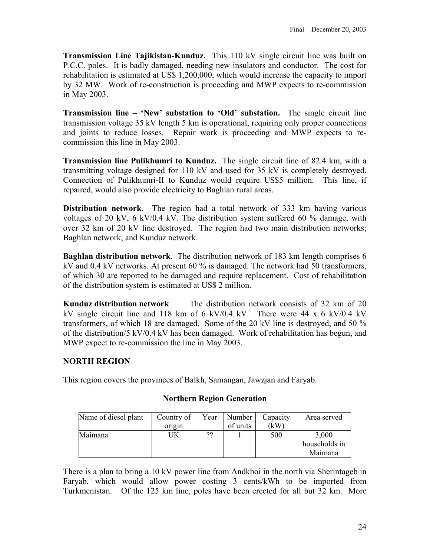**Transmission Line Tajikistan-Kunduz.** This 110 kV single circuit line was built on P.C.C. poles. It is badly damaged, needing new insulators and conductor. The cost for rehabilitation is estimated at US\$ 1,200,000, which would increase the capacity to import by 32 MW. Work of re-construction is proceeding and MWP expects to re-commission in May 2003.

**Transmission line – 'New' substation to 'Old' substation.** The single circuit line transmission voltage 35 kV length 5 km is operational, requiring only proper connections and joints to reduce losses. Repair work is proceeding and MWP expects to recommission this line in May 2003.

**Transmission line Pulikhumri to Kunduz.** The single circuit line of 82.4 km, with a transmitting voltage designed for 110 kV and used for 35 kV is completely destroyed. Connection of Pulikhumri-II to Kunduz would require US\$5 million. This line, if repaired, would also provide electricity to Baghlan rural areas.

**Distribution network**. The region had a total network of 333 km having various voltages of 20 kV, 6 kV/0.4 kV. The distribution system suffered 60 % damage, with over 32 km of 20 kV line destroyed. The region had two main distribution networks; Baghlan network, and Kunduz network.

**Baghlan distribution network**. The distribution network of 183 km length comprises 6 kV and 0.4 kV networks. At present 60 % is damaged. The network had 50 transformers, of which 30 are reported to be damaged and require replacement. Cost of rehabilitation of the distribution system is estimated at US\$ 2 million.

**Kunduz distribution network** The distribution network consists of 32 km of 20 kV single circuit line and 118 km of 6 kV/0.4 kV. There were 44 x 6 kV/0.4 kV transformers, of which 18 are damaged. Some of the 20 kV line is destroyed, and 50 % of the distribution/5 kV/0.4 kV has been damaged. Work of rehabilitation has begun, and MWP expect to re-commission the line in May 2003.

## **NORTH REGION**

This region covers the provinces of Balkh, Samangan, Jawzjan and Faryab.

## **Northern Region Generation**

| Name of diesel plant | Country of | Year | Number   | Capacity | Area served   |
|----------------------|------------|------|----------|----------|---------------|
|                      | origin     |      | of units | (kW      |               |
| Maimana              | UΚ         | ??   |          | 500      | 3,000         |
|                      |            |      |          |          | households in |
|                      |            |      |          |          | Maimana       |

There is a plan to bring a 10 kV power line from Andkhoi in the north via Sherintageb in Faryab, which would allow power costing 3 cents/kWh to be imported from Turkmenistan. Of the 125 km line, poles have been erected for all but 32 km. More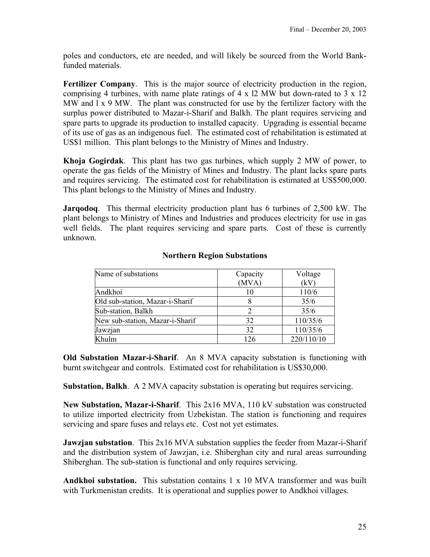poles and conductors, etc are needed, and will likely be sourced from the World Bankfunded materials.

**Fertilizer Company**. This is the major source of electricity production in the region, comprising 4 turbines, with name plate ratings of 4 x l2 MW but down-rated to 3 x 12 MW and  $1 \times 9$  MW. The plant was constructed for use by the fertilizer factory with the surplus power distributed to Mazar-i-Sharif and Balkh. The plant requires servicing and spare parts to upgrade its production to installed capacity. Upgrading is essential became of its use of gas as an indigenous fuel. The estimated cost of rehabilitation is estimated at US\$1 million. This plant belongs to the Ministry of Mines and Industry.

**Khoja Gogirdak**. This plant has two gas turbines, which supply 2 MW of power, to operate the gas fields of the Ministry of Mines and Industry. The plant lacks spare parts and requires servicing. The estimated cost for rehabilitation is estimated at US\$500,000. This plant belongs to the Ministry of Mines and Industry.

**Jarqodoq**. This thermal electricity production plant has 6 turbines of 2,500 kW. The plant belongs to Ministry of Mines and Industries and produces electricity for use in gas well fields. The plant requires servicing and spare parts. Cost of these is currently unknown.

| Name of substations             | Capacity                    | Voltage    |
|---------------------------------|-----------------------------|------------|
|                                 | (MVA)                       | (kV)       |
| Andkhoi                         | 10                          | 110/6      |
| Old sub-station, Mazar-i-Sharif |                             | 35/6       |
| Sub-station, Balkh              | $\mathcal{D}_{\mathcal{L}}$ | 35/6       |
| New sub-station, Mazar-i-Sharif | 32                          | 110/35/6   |
| Jawzjan                         | 32                          | 110/35/6   |
| Khulm                           | 126                         | 220/110/10 |

## **Northern Region Substations**

**Old Substation Mazar-i-Sharif**. An 8 MVA capacity substation is functioning with burnt switchgear and controls. Estimated cost for rehabilitation is US\$30,000.

**Substation, Balkh**. A 2 MVA capacity substation is operating but requires servicing.

**New Substation, Mazar-i-Sharif**. This 2x16 MVA, 110 kV substation was constructed to utilize imported electricity from Uzbekistan. The station is functioning and requires servicing and spare fuses and relays etc. Cost not yet estimates.

**Jawzjan substation.** This 2x16 MVA substation supplies the feeder from Mazar-i-Sharif and the distribution system of Jawzjan, i.e. Shiberghan city and rural areas surrounding Shiberghan. The sub-station is functional and only requires servicing.

**Andkhoi substation.** This substation contains 1 x 10 MVA transformer and was built with Turkmenistan credits. It is operational and supplies power to Andkhoi villages.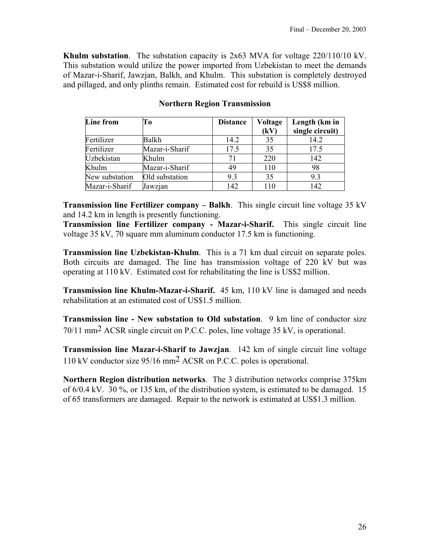**Khulm substation**. The substation capacity is 2x63 MVA for voltage 220/110/10 kV. This substation would utilize the power imported from Uzbekistan to meet the demands of Mazar-i-Sharif, Jawzjan, Balkh, and Khulm. This substation is completely destroyed and pillaged, and only plinths remain. Estimated cost for rebuild is US\$8 million.

| Line from      | To             | <b>Distance</b> | Voltage | Length (km in   |
|----------------|----------------|-----------------|---------|-----------------|
|                |                |                 | (kV)    | single circuit) |
| Fertilizer     | Balkh          | 14.2            | 35      | 14.2            |
| Fertilizer     | Mazar-i-Sharif | 17.5            | 35      | 17.5            |
| Uzbekistan     | Khulm          | 71              | 220     | 142             |
| Khulm          | Mazar-i-Sharif | 49              | 110     | 98              |
| New substation | Old substation | 9.3             | 35      | 9.3             |
| Mazar-i-Sharif | Jawzjan        | 142             | 110     | 142             |

## **Northern Region Transmission**

**Transmission line Fertilizer company – Balkh**. This single circuit line voltage 35 kV and 14.2 km in length is presently functioning.

**Transmission line Fertilizer company - Mazar-i-Sharif.** This single circuit line voltage 35 kV, 70 square mm aluminum conductor 17.5 km is functioning.

**Transmission line Uzbekistan-Khulm**. This is a 71 km dual circuit on separate poles. Both circuits are damaged. The line has transmission voltage of 220 kV but was operating at 110 kV. Estimated cost for rehabilitating the line is US\$2 million.

**Transmission line Khulm-Mazar-i-Sharif.** 45 km, 110 kV line is damaged and needs rehabilitation at an estimated cost of US\$1.5 million.

**Transmission line - New substation to Old substation**. 9 km line of conductor size 70/11 mm2 ACSR single circuit on P.C.C. poles, line voltage 35 kV, is operational.

**Transmission line Mazar-i-Sharif to Jawzjan**. 142 km of single circuit line voltage 110 kV conductor size 95/16 mm2 ACSR on P.C.C. poles is operational.

**Northern Region distribution networks**. The 3 distribution networks comprise 375km of 6/0.4 kV. 30 %, or 135 km, of the distribution system, is estimated to be damaged. 15 of 65 transformers are damaged. Repair to the network is estimated at US\$1.3 million.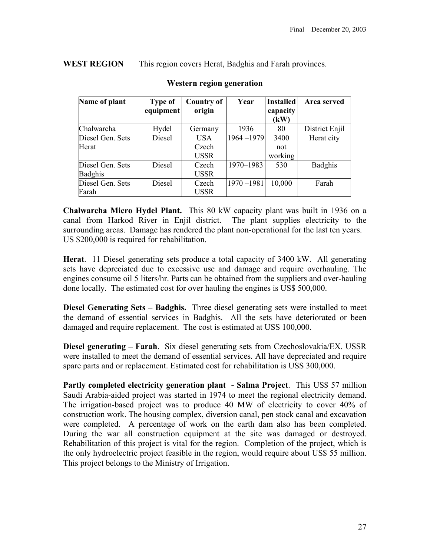**WEST REGION** This region covers Herat, Badghis and Farah provinces.

| Name of plant    | <b>Type of</b> | <b>Country of</b> | Year          | <b>Installed</b> | Area served    |
|------------------|----------------|-------------------|---------------|------------------|----------------|
|                  | equipment      | origin            |               | capacity         |                |
|                  |                |                   |               | (kW)             |                |
| Chalwarcha       | Hydel          | Germany           | 1936          | 80               | District Enjil |
| Diesel Gen. Sets | Diesel         | <b>USA</b>        | 1964-1979     | 3400             | Herat city     |
| Herat            |                | Czech             |               | not              |                |
|                  |                | <b>USSR</b>       |               | working          |                |
| Diesel Gen. Sets | Diesel         | Czech             | 1970-1983     | 530              | Badghis        |
| <b>Badghis</b>   |                | <b>USSR</b>       |               |                  |                |
| Diesel Gen. Sets | Diesel         | Czech             | $1970 - 1981$ | 10,000           | Farah          |
| Farah            |                | <b>USSR</b>       |               |                  |                |

### **Western region generation**

**Chalwarcha Micro Hydel Plant.** This 80 kW capacity plant was built in 1936 on a canal from Harkod River in Enjil district. The plant supplies electricity to the surrounding areas. Damage has rendered the plant non-operational for the last ten years. US \$200,000 is required for rehabilitation.

**Herat**. 11 Diesel generating sets produce a total capacity of 3400 kW. All generating sets have depreciated due to excessive use and damage and require overhauling. The engines consume oil 5 liters/hr. Parts can be obtained from the suppliers and over-hauling done locally. The estimated cost for over hauling the engines is US\$ 500,000.

**Diesel Generating Sets – Badghis.** Three diesel generating sets were installed to meet the demand of essential services in Badghis. All the sets have deteriorated or been damaged and require replacement. The cost is estimated at USS 100,000.

**Diesel generating – Farah**. Six diesel generating sets from Czechoslovakia/EX. USSR were installed to meet the demand of essential services. All have depreciated and require spare parts and or replacement. Estimated cost for rehabilitation is USS 300,000.

**Partly completed electricity generation plant - Salma Project**. This US\$ 57 million Saudi Arabia-aided project was started in 1974 to meet the regional electricity demand. The irrigation-based project was to produce 40 MW of electricity to cover 40% of construction work. The housing complex, diversion canal, pen stock canal and excavation were completed. A percentage of work on the earth dam also has been completed. During the war all construction equipment at the site was damaged or destroyed. Rehabilitation of this project is vital for the region. Completion of the project, which is the only hydroelectric project feasible in the region, would require about US\$ 55 million. This project belongs to the Ministry of Irrigation.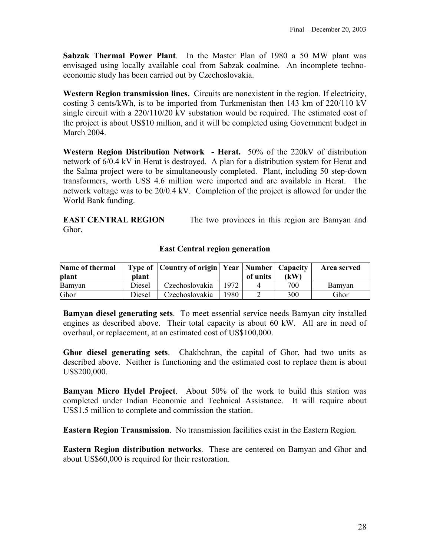**Sabzak Thermal Power Plant**. In the Master Plan of 1980 a 50 MW plant was envisaged using locally available coal from Sabzak coalmine. An incomplete technoeconomic study has been carried out by Czechoslovakia.

**Western Region transmission lines.** Circuits are nonexistent in the region. If electricity, costing 3 cents/kWh, is to be imported from Turkmenistan then 143 km of 220/110 kV single circuit with a 220/110/20 kV substation would be required. The estimated cost of the project is about US\$10 million, and it will be completed using Government budget in March 2004.

**Western Region Distribution Network - Herat.** 50% of the 220kV of distribution network of 6/0.4 kV in Herat is destroyed. A plan for a distribution system for Herat and the Salma project were to be simultaneously completed. Plant, including 50 step-down transformers, worth USS 4.6 million were imported and are available in Herat. The network voltage was to be 20/0.4 kV. Completion of the project is allowed for under the World Bank funding.

**EAST CENTRAL REGION** The two provinces in this region are Bamyan and Ghor.

## **East Central region generation**

| Name of thermal<br><b>plant</b> | <b>plant</b> | Type of   Country of origin   Year   Number   Capacity |       | of units | (kW | Area served |
|---------------------------------|--------------|--------------------------------------------------------|-------|----------|-----|-------------|
| Bamyan                          | Diesel       | Czechoslovakia                                         | 1972. |          | 700 | Bamyan      |
| Ghor                            | Diesel       | Czechoslovakia                                         | 1980. |          | 300 | Ghor        |

**Bamyan diesel generating sets**. To meet essential service needs Bamyan city installed engines as described above. Their total capacity is about 60 kW. All are in need of overhaul, or replacement, at an estimated cost of US\$100,000.

**Ghor diesel generating sets**. Chakhchran, the capital of Ghor, had two units as described above. Neither is functioning and the estimated cost to replace them is about US\$200,000.

**Bamyan Micro Hydel Project**. About 50% of the work to build this station was completed under Indian Economic and Technical Assistance. It will require about US\$1.5 million to complete and commission the station.

**Eastern Region Transmission**. No transmission facilities exist in the Eastern Region.

**Eastern Region distribution networks**. These are centered on Bamyan and Ghor and about US\$60,000 is required for their restoration.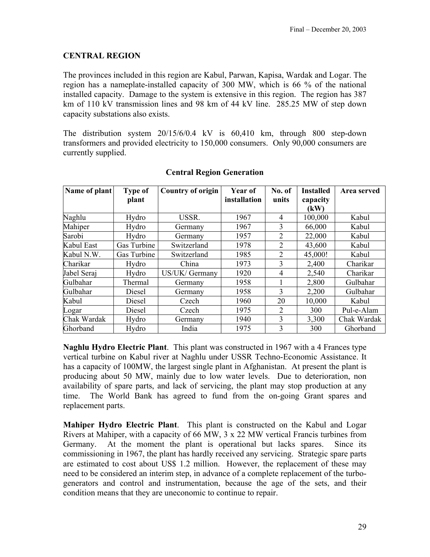## **CENTRAL REGION**

The provinces included in this region are Kabul, Parwan, Kapisa, Wardak and Logar. The region has a nameplate-installed capacity of 300 MW, which is 66 % of the national installed capacity. Damage to the system is extensive in this region. The region has 387 km of 110 kV transmission lines and 98 km of 44 kV line. 285.25 MW of step down capacity substations also exists.

The distribution system 20/15/6/0.4 kV is 60,410 km, through 800 step-down transformers and provided electricity to 150,000 consumers. Only 90,000 consumers are currently supplied.

| Name of plant | <b>Type of</b> | <b>Country of origin</b> | Year of      | No. of         | <b>Installed</b> | Area served |
|---------------|----------------|--------------------------|--------------|----------------|------------------|-------------|
|               | plant          |                          | installation | units          | capacity<br>(kW) |             |
| Naghlu        | Hydro          | USSR.                    | 1967         | 4              | 100,000          | Kabul       |
| Mahiper       | Hydro          | Germany                  | 1967         | $\overline{3}$ | 66,000           | Kabul       |
| Sarobi        | Hydro          | Germany                  | 1957         | 2              | 22,000           | Kabul       |
| Kabul East    | Gas Turbine    | Switzerland              | 1978         | $\overline{2}$ | 43,600           | Kabul       |
| Kabul N.W.    | Gas Turbine    | Switzerland              | 1985         | $\overline{2}$ | 45,000!          | Kabul       |
| Charikar      | Hydro          | China                    | 1973         | 3              | 2,400            | Charikar    |
| Jabel Seraj   | Hydro          | US/UK/ Germany           | 1920         | 4              | 2,540            | Charikar    |
| Gulbahar      | Thermal        | Germany                  | 1958         |                | 2,800            | Gulbahar    |
| Gulbahar      | Diesel         | Germany                  | 1958         | 3              | 2,200            | Gulbahar    |
| Kabul         | Diesel         | Czech                    | 1960         | 20             | 10,000           | Kabul       |
| Logar         | Diesel         | Czech                    | 1975         | 2              | 300              | Pul-e-Alam  |
| Chak Wardak   | Hydro          | Germany                  | 1940         | 3              | 3,300            | Chak Wardak |
| Ghorband      | Hydro          | India                    | 1975         | 3              | 300              | Ghorband    |

## **Central Region Generation**

**Naghlu Hydro Electric Plant**. This plant was constructed in 1967 with a 4 Frances type vertical turbine on Kabul river at Naghlu under USSR Techno-Economic Assistance. It has a capacity of 100MW, the largest single plant in Afghanistan. At present the plant is producing about 50 MW, mainly due to low water levels. Due to deterioration, non availability of spare parts, and lack of servicing, the plant may stop production at any time. The World Bank has agreed to fund from the on-going Grant spares and replacement parts.

**Mahiper Hydro Electric Plant**. This plant is constructed on the Kabul and Logar Rivers at Mahiper, with a capacity of 66 MW, 3 x 22 MW vertical Francis turbines from Germany. At the moment the plant is operational but lacks spares. Since its commissioning in 1967, the plant has hardly received any servicing. Strategic spare parts are estimated to cost about US\$ 1.2 million. However, the replacement of these may need to be considered an interim step, in advance of a complete replacement of the turbogenerators and control and instrumentation, because the age of the sets, and their condition means that they are uneconomic to continue to repair.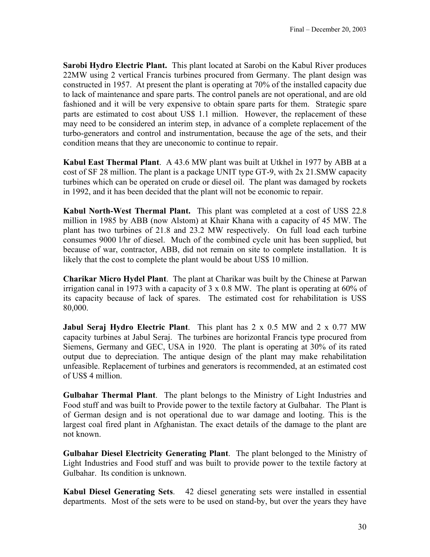**Sarobi Hydro Electric Plant.** This plant located at Sarobi on the Kabul River produces 22MW using 2 vertical Francis turbines procured from Germany. The plant design was constructed in 1957. At present the plant is operating at 70% of the installed capacity due to lack of maintenance and spare parts. The control panels are not operational, and are old fashioned and it will be very expensive to obtain spare parts for them. Strategic spare parts are estimated to cost about US\$ 1.1 million. However, the replacement of these may need to be considered an interim step, in advance of a complete replacement of the turbo-generators and control and instrumentation, because the age of the sets, and their condition means that they are uneconomic to continue to repair.

**Kabul East Thermal Plant**. A 43.6 MW plant was built at Utkhel in 1977 by ABB at a cost of SF 28 million. The plant is a package UNIT type GT-9, with 2x 21.SMW capacity turbines which can be operated on crude or diesel oil. The plant was damaged by rockets in 1992, and it has been decided that the plant will not be economic to repair.

**Kabul North-West Thermal Plant.** This plant was completed at a cost of USS 22.8 million in 1985 by ABB (now Alstom) at Khair Khana with a capacity of 45 MW. The plant has two turbines of 21.8 and 23.2 MW respectively. On full load each turbine consumes 9000 l/hr of diesel. Much of the combined cycle unit has been supplied, but because of war, contractor, ABB, did not remain on site to complete installation. It is likely that the cost to complete the plant would be about US\$ 10 million.

**Charikar Micro Hydel Plant**. The plant at Charikar was built by the Chinese at Parwan irrigation canal in 1973 with a capacity of 3 x 0.8 MW. The plant is operating at 60% of its capacity because of lack of spares. The estimated cost for rehabilitation is USS 80,000.

**Jabul Seraj Hydro Electric Plant**. This plant has 2 x 0.5 MW and 2 x 0.77 MW capacity turbines at Jabul Seraj. The turbines are horizontal Francis type procured from Siemens, Germany and GEC, USA in 1920. The plant is operating at 30% of its rated output due to depreciation. The antique design of the plant may make rehabilitation unfeasible. Replacement of turbines and generators is recommended, at an estimated cost of US\$ 4 million.

**Gulbahar Thermal Plant**. The plant belongs to the Ministry of Light Industries and Food stuff and was built to Provide power to the textile factory at Gulbahar. The Plant is of German design and is not operational due to war damage and looting. This is the largest coal fired plant in Afghanistan. The exact details of the damage to the plant are not known.

**Gulbahar Diesel Electricity Generating Plant**. The plant belonged to the Ministry of Light Industries and Food stuff and was built to provide power to the textile factory at Gulbahar. Its condition is unknown.

**Kabul Diesel Generating Sets**. 42 diesel generating sets were installed in essential departments. Most of the sets were to be used on stand-by, but over the years they have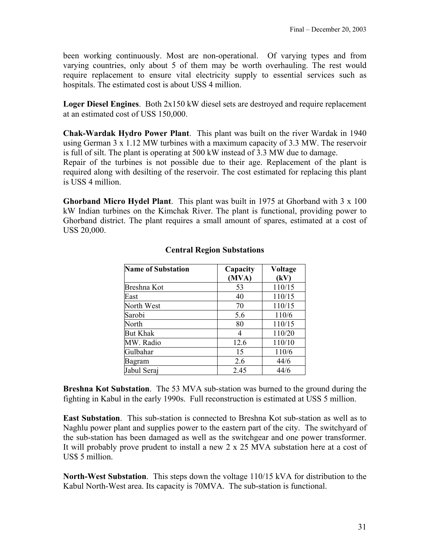been working continuously. Most are non-operational. Of varying types and from varying countries, only about 5 of them may be worth overhauling. The rest would require replacement to ensure vital electricity supply to essential services such as hospitals. The estimated cost is about USS 4 million.

**Loger Diesel Engines**. Both 2x150 kW diesel sets are destroyed and require replacement at an estimated cost of USS 150,000.

**Chak-Wardak Hydro Power Plant**. This plant was built on the river Wardak in 1940 using German 3 x 1.12 MW turbines with a maximum capacity of 3.3 MW. The reservoir is full of silt. The plant is operating at 500 kW instead of 3.3 MW due to damage. Repair of the turbines is not possible due to their age. Replacement of the plant is required along with desilting of the reservoir. The cost estimated for replacing this plant is USS 4 million.

**Ghorband Micro Hydel Plant**. This plant was built in 1975 at Ghorband with 3 x 100 kW Indian turbines on the Kimchak River. The plant is functional, providing power to Ghorband district. The plant requires a small amount of spares, estimated at a cost of USS 20,000.

| <b>Name of Substation</b> | Capacity | Voltage |
|---------------------------|----------|---------|
|                           | (MVA)    | (kV)    |
| Breshna Kot               | 53       | 110/15  |
| East                      | 40       | 110/15  |
| North West                | 70       | 110/15  |
| Sarobi                    | 5.6      | 110/6   |
| North                     | 80       | 110/15  |
| <b>But Khak</b>           | 4        | 110/20  |
| MW. Radio                 | 12.6     | 110/10  |
| Gulbahar                  | 15       | 110/6   |
| Bagram                    | 2.6      | 44/6    |
| Jabul Seraj               | 2.45     | 44/6    |

## **Central Region Substations**

**Breshna Kot Substation**. The 53 MVA sub-station was burned to the ground during the fighting in Kabul in the early 1990s. Full reconstruction is estimated at USS 5 million.

**East Substation**. This sub-station is connected to Breshna Kot sub-station as well as to Naghlu power plant and supplies power to the eastern part of the city. The switchyard of the sub-station has been damaged as well as the switchgear and one power transformer. It will probably prove prudent to install a new 2 x 25 MVA substation here at a cost of US\$ 5 million.

**North-West Substation**. This steps down the voltage 110/15 kVA for distribution to the Kabul North-West area. Its capacity is 70MVA. The sub-station is functional.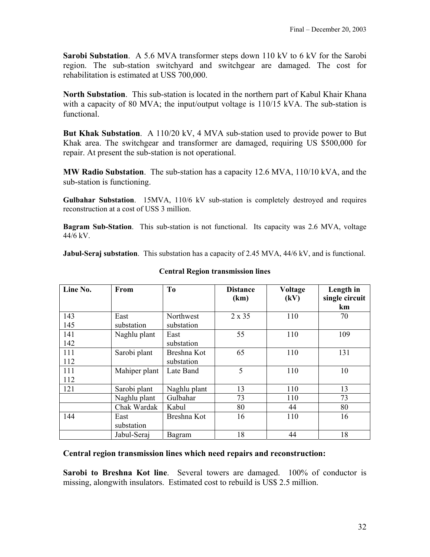**Sarobi Substation**. A 5.6 MVA transformer steps down 110 kV to 6 kV for the Sarobi region. The sub-station switchyard and switchgear are damaged. The cost for rehabilitation is estimated at USS 700,000.

**North Substation**. This sub-station is located in the northern part of Kabul Khair Khana with a capacity of 80 MVA; the input/output voltage is 110/15 kVA. The sub-station is functional.

**But Khak Substation**. A 110/20 kV, 4 MVA sub-station used to provide power to But Khak area. The switchgear and transformer are damaged, requiring US \$500,000 for repair. At present the sub-station is not operational.

**MW Radio Substation**. The sub-station has a capacity 12.6 MVA, 110/10 kVA, and the sub-station is functioning.

**Gulbahar Substation**. 15MVA, 110/6 kV sub-station is completely destroyed and requires reconstruction at a cost of USS 3 million.

**Bagram Sub-Station**. This sub-station is not functional. Its capacity was 2.6 MVA, voltage 44/6 kV.

**Jabul-Seraj substation**. This substation has a capacity of 2.45 MVA, 44/6 kV, and is functional.

| Line No. | From          | T <sub>0</sub> | <b>Distance</b><br>(km) | Voltage<br>(kV) | Length in<br>single circuit |
|----------|---------------|----------------|-------------------------|-----------------|-----------------------------|
|          |               |                |                         |                 | km                          |
| 143      | East          | Northwest      | 2 x 35                  | 110             | 70                          |
| 145      | substation    | substation     |                         |                 |                             |
| 141      | Naghlu plant  | East           | 55                      | 110             | 109                         |
| 142      |               | substation     |                         |                 |                             |
| 111      | Sarobi plant  | Breshna Kot    | 65                      | 110             | 131                         |
| 112      |               | substation     |                         |                 |                             |
| 111      | Mahiper plant | Late Band      | 5                       | 110             | 10                          |
| 112      |               |                |                         |                 |                             |
| 121      | Sarobi plant  | Naghlu plant   | 13                      | 110             | 13                          |
|          | Naghlu plant  | Gulbahar       | 73                      | 110             | 73                          |
|          | Chak Wardak   | Kabul          | 80                      | 44              | 80                          |
| 144      | East          | Breshna Kot    | 16                      | 110             | 16                          |
|          | substation    |                |                         |                 |                             |
|          | Jabul-Seraj   | Bagram         | 18                      | 44              | 18                          |

#### **Central Region transmission lines**

#### **Central region transmission lines which need repairs and reconstruction:**

**Sarobi to Breshna Kot line**. Several towers are damaged. 100% of conductor is missing, alongwith insulators. Estimated cost to rebuild is US\$ 2.5 million.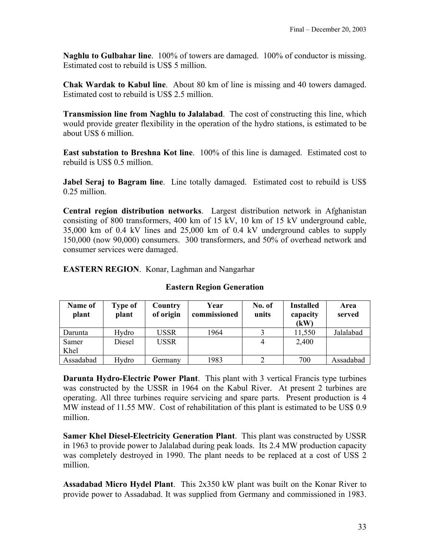**Naghlu to Gulbahar line**. 100% of towers are damaged. 100% of conductor is missing. Estimated cost to rebuild is US\$ 5 million.

**Chak Wardak to Kabul line**. About 80 km of line is missing and 40 towers damaged. Estimated cost to rebuild is US\$ 2.5 million.

**Transmission line from Naghlu to Jalalabad**. The cost of constructing this line, which would provide greater flexibility in the operation of the hydro stations, is estimated to be about US\$ 6 million.

**East substation to Breshna Kot line**. 100% of this line is damaged. Estimated cost to rebuild is US\$ 0.5 million.

**Jabel Seraj to Bagram line**. Line totally damaged. Estimated cost to rebuild is US\$ 0.25 million.

**Central region distribution networks**. Largest distribution network in Afghanistan consisting of 800 transformers, 400 km of 15 kV, 10 km of 15 kV underground cable, 35,000 km of 0.4 kV lines and 25,000 km of 0.4 kV underground cables to supply 150,000 (now 90,000) consumers. 300 transformers, and 50% of overhead network and consumer services were damaged.

**EASTERN REGION**. Konar, Laghman and Nangarhar

| Name of<br>plant | Type of<br>plant | Country<br>of origin | Year<br>commissioned | No. of<br>units | <b>Installed</b><br>capacity<br>(kW) | Area<br>served |
|------------------|------------------|----------------------|----------------------|-----------------|--------------------------------------|----------------|
| Darunta          | Hydro            | USSR                 | 1964                 |                 | 11,550                               | Jalalabad      |
| Samer<br>Khel    | Diesel           | <b>USSR</b>          |                      |                 | 2,400                                |                |
| Assadabad        | Hydro            | Germany              | 1983                 |                 | 700                                  | Assadabad      |

## **Eastern Region Generation**

**Darunta Hydro-Electric Power Plant**. This plant with 3 vertical Francis type turbines was constructed by the USSR in 1964 on the Kabul River. At present 2 turbines are operating. All three turbines require servicing and spare parts. Present production is 4 MW instead of 11.55 MW. Cost of rehabilitation of this plant is estimated to be US\$ 0.9 million.

**Samer Khel Diesel-Electricity Generation Plant**. This plant was constructed by USSR in 1963 to provide power to Jalalabad during peak loads. Its 2.4 MW production capacity was completely destroyed in 1990. The plant needs to be replaced at a cost of USS 2 million.

**Assadabad Micro Hydel Plant**. This 2x350 kW plant was built on the Konar River to provide power to Assadabad. It was supplied from Germany and commissioned in 1983.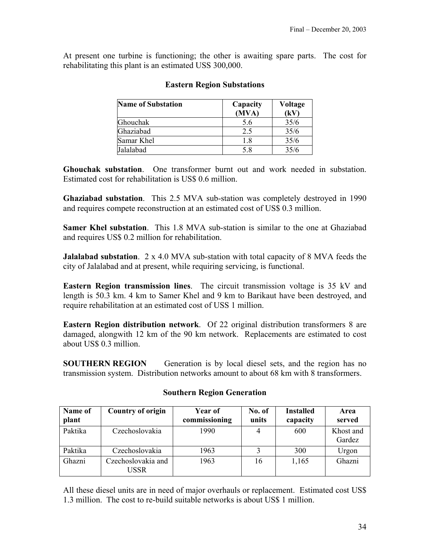At present one turbine is functioning; the other is awaiting spare parts. The cost for rehabilitating this plant is an estimated USS 300,000.

| <b>Name of Substation</b> | Capacity<br>(MVA) | Voltage<br>(kV) |
|---------------------------|-------------------|-----------------|
| Ghouchak                  | 5.6               | 35/6            |
| Ghaziabad                 | 2.5               | 35/6            |
| Samar Khel                | 1.8               | 35/6            |
| Jalalabad                 | 5.8               | 35/6            |

## **Eastern Region Substations**

**Ghouchak substation**. One transformer burnt out and work needed in substation. Estimated cost for rehabilitation is US\$ 0.6 million.

**Ghaziabad substation**. This 2.5 MVA sub-station was completely destroyed in 1990 and requires compete reconstruction at an estimated cost of US\$ 0.3 million.

**Samer Khel substation**. This 1.8 MVA sub-station is similar to the one at Ghaziabad and requires US\$ 0.2 million for rehabilitation.

**Jalalabad substation**. 2 x 4.0 MVA sub-station with total capacity of 8 MVA feeds the city of Jalalabad and at present, while requiring servicing, is functional.

**Eastern Region transmission lines**. The circuit transmission voltage is 35 kV and length is 50.3 km. 4 km to Samer Khel and 9 km to Barikaut have been destroyed, and require rehabilitation at an estimated cost of USS 1 million.

**Eastern Region distribution network**. Of 22 original distribution transformers 8 are damaged, alongwith 12 km of the 90 km network. Replacements are estimated to cost about US\$ 0.3 million.

**SOUTHERN REGION** Generation is by local diesel sets, and the region has no transmission system. Distribution networks amount to about 68 km with 8 transformers.

| Name of | <b>Country of origin</b>   | Year of       | No. of | <b>Installed</b> | Area                |
|---------|----------------------------|---------------|--------|------------------|---------------------|
| plant   |                            | commissioning | units  | capacity         | served              |
| Paktika | Czechoslovakia             | 1990          | 4      | 600              | Khost and<br>Gardez |
| Paktika | Czechoslovakia             | 1963          |        | 300              | Urgon               |
| Ghazni  | Czechoslovakia and<br>USSR | 1963          | 16     | 1,165            | Ghazni              |

## **Southern Region Generation**

All these diesel units are in need of major overhauls or replacement. Estimated cost US\$ 1.3 million. The cost to re-build suitable networks is about US\$ 1 million.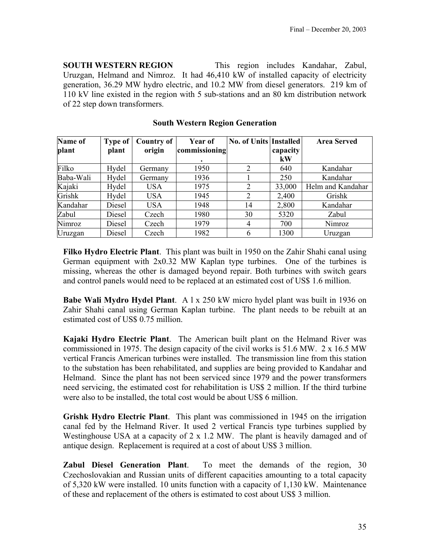**SOUTH WESTERN REGION** This region includes Kandahar, Zabul, Uruzgan, Helmand and Nimroz. It had 46,410 kW of installed capacity of electricity generation, 36.29 MW hydro electric, and 10.2 MW from diesel generators. 219 km of 110 kV line existed in the region with 5 sub-stations and an 80 km distribution network of 22 step down transformers.

| <b>Name of</b> | <b>Type of</b> | <b>Country of</b> | <b>Year of</b> | <b>No. of Units Installed</b> |          | <b>Area Served</b> |
|----------------|----------------|-------------------|----------------|-------------------------------|----------|--------------------|
| plant          | plant          | origin            | commissioning  |                               | capacity |                    |
|                |                |                   |                |                               | kW       |                    |
| Filko          | Hydel          | Germany           | 1950           | າ                             | 640      | Kandahar           |
| Baba-Wali      | Hydel          | Germany           | 1936           |                               | 250      | Kandahar           |
| Kajaki         | Hydel          | <b>USA</b>        | 1975           | 2                             | 33,000   | Helm and Kandahar  |
| Grishk         | Hydel          | <b>USA</b>        | 1945           | 2                             | 2,400    | Grishk             |
| Kandahar       | Diesel         | <b>USA</b>        | 1948           | 14                            | 2,800    | Kandahar           |
| Zabul          | Diesel         | Czech             | 1980           | 30                            | 5320     | Zabul              |
| Nimroz         | Diesel         | Czech             | 1979           | 4                             | 700      | Nimroz             |
| Uruzgan        | Diesel         | Czech             | 1982           | 6                             | 1300     | Uruzgan            |

**South Western Region Generation** 

**Filko Hydro Electric Plant**. This plant was built in 1950 on the Zahir Shahi canal using German equipment with 2x0.32 MW Kaplan type turbines. One of the turbines is missing, whereas the other is damaged beyond repair. Both turbines with switch gears and control panels would need to be replaced at an estimated cost of US\$ 1.6 million.

**Babe Wali Mydro Hydel Plant.** A 1 x 250 kW micro hydel plant was built in 1936 on Zahir Shahi canal using German Kaplan turbine. The plant needs to be rebuilt at an estimated cost of US\$ 0.75 million.

**Kajaki Hydro Electric Plant**. The American built plant on the Helmand River was commissioned in 1975. The design capacity of the civil works is 51.6 MW. 2 x 16.5 MW vertical Francis American turbines were installed. The transmission line from this station to the substation has been rehabilitated, and supplies are being provided to Kandahar and Helmand. Since the plant has not been serviced since 1979 and the power transformers need servicing, the estimated cost for rehabilitation is US\$ 2 million. If the third turbine were also to be installed, the total cost would be about US\$ 6 million.

**Grishk Hydro Electric Plant**. This plant was commissioned in 1945 on the irrigation canal fed by the Helmand River. It used 2 vertical Francis type turbines supplied by Westinghouse USA at a capacity of 2 x 1.2 MW. The plant is heavily damaged and of antique design. Replacement is required at a cost of about US\$ 3 million.

**Zabul Diesel Generation Plant**. To meet the demands of the region, 30 Czechoslovakian and Russian units of different capacities amounting to a total capacity of 5,320 kW were installed. 10 units function with a capacity of 1,130 kW. Maintenance of these and replacement of the others is estimated to cost about US\$ 3 million.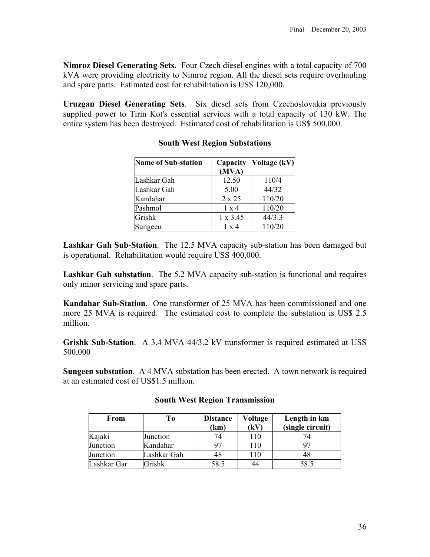**Nimroz Diesel Generating Sets.** Four Czech diesel engines with a total capacity of 700 kVA were providing electricity to Nimroz region. All the diesel sets require overhauling and spare parts. Estimated cost for rehabilitation is US\$ 120,000.

**Uruzgan Diesel Generating Sets**. Six diesel sets from Czechoslovakia previously supplied power to Tirin Kot's essential services with a total capacity of 130 kW. The entire system has been destroyed. Estimated cost of rehabilitation is US\$ 500,000.

| <b>Name of Sub-station</b> | Capacity<br>(MVA) | Voltage (kV) |
|----------------------------|-------------------|--------------|
| Lashkar Gah                | 12.50             | 110/4        |
| Lashkar Gah                | 5.00              | 44/32        |
| Kandahar                   | $2 \times 25$     | 110/20       |
| Pashmol                    | $1 \times 4$      | 110/20       |
| Grishk                     | $1 \times 3.45$   | 44/3.3       |
| Sungeen                    | $1 \times 4$      | 110/20       |

## **South West Region Substations**

**Lashkar Gah Sub-Station**. The 12.5 MVA capacity sub-station has been damaged but is operational. Rehabilitation would require USS 400,000.

**Lashkar Gah substation**. The 5.2 MVA capacity sub-station is functional and requires only minor servicing and spare parts.

**Kandahar Sub-Station**. One transformer of 25 MVA has been commissioned and one more 25 MVA is required. The estimated cost to complete the substation is US\$ 2.5 million.

**Grishk Sub-Station**. A 3.4 MVA 44/3.2 kV transformer is required estimated at USS 500,000

**Sungeen substation**. A 4 MVA substation has been erected. A town network is required at an estimated cost of US\$1.5 million.

| From        | Tо          | <b>Distance</b><br>(km) | Voltage<br>(kV) | Length in km<br>(single circuit) |
|-------------|-------------|-------------------------|-----------------|----------------------------------|
| Kajaki      | Junction    | 74                      | 110             |                                  |
| Junction    | Kandahar    | 97                      | 110             | 97                               |
| Junction    | Lashkar Gah | 48                      | 110             | 48                               |
| Lashkar Gar | Grishk      | 58.5                    |                 | 58.5                             |

#### **South West Region Transmission**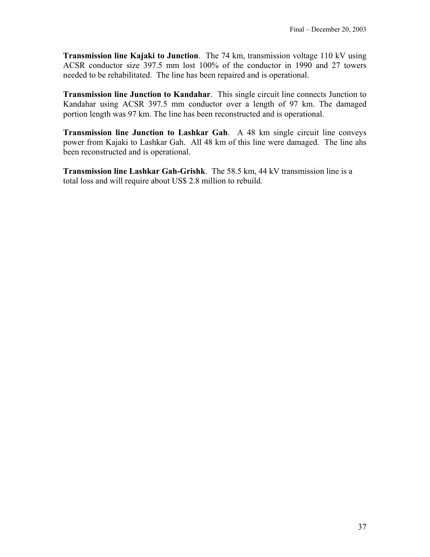**Transmission line Kajaki to Junction**. The 74 km, transmission voltage 110 kV using ACSR conductor size 397.5 mm lost 100% of the conductor in 1990 and 27 towers needed to be rehabilitated. The line has been repaired and is operational.

**Transmission line Junction to Kandahar**. This single circuit line connects Junction to Kandahar using ACSR 397.5 mm conductor over a length of 97 km. The damaged portion length was 97 km. The line has been reconstructed and is operational.

**Transmission line Junction to Lashkar Gah**. A 48 km single circuit line conveys power from Kajaki to Lashkar Gah. All 48 km of this line were damaged. The line ahs been reconstructed and is operational.

**Transmission line Lashkar Gah-Grishk**. The 58.5 km, 44 kV transmission line is a total loss and will require about US\$ 2.8 million to rebuild.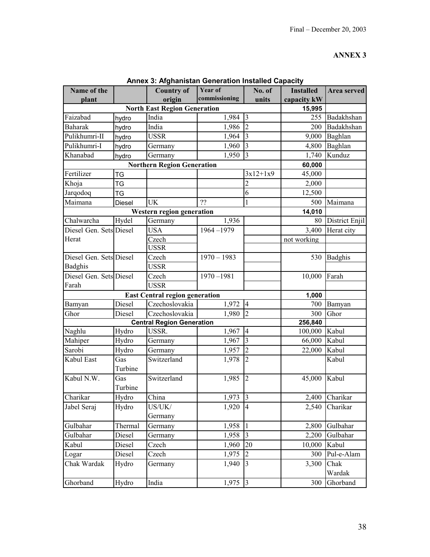| Name of the             |         | <b>Country of</b>                     | Year of       | No. of         | <b>Installed</b> | Area served    |
|-------------------------|---------|---------------------------------------|---------------|----------------|------------------|----------------|
| plant                   |         | origin                                | commissioning | units          | capacity kW      |                |
|                         |         | <b>North East Region Generation</b>   |               |                | 15,995           |                |
| Faizabad                | hydro   | India                                 | 1,984         | 3              | 255              | Badakhshan     |
| <b>Baharak</b>          | hydro   | India                                 | 1,986         | $\overline{2}$ | 200              | Badakhshan     |
| Pulikhumri-II           | hydro   | <b>USSR</b>                           | 1,964         | $\vert$ 3      | 9,000            | Baghlan        |
| Pulikhumri-I            | hydro   | Germany                               | 1,960         | $\overline{3}$ | 4,800            | Baghlan        |
| Khanabad                | hydro   | Germany                               | 1,950         | $\overline{3}$ | 1,740            | Kunduz         |
|                         |         | <b>Northern Region Generation</b>     |               |                | 60,000           |                |
| Fertilizer              | TG      |                                       |               | $3x12+1x9$     | 45,000           |                |
| Khoja                   | TG      |                                       |               | $\overline{2}$ | 2,000            |                |
| Jarqodoq                | TG      |                                       |               | 6              | 12,500           |                |
| Maimana                 | Diesel  | <b>UK</b>                             | ??            | 1              | 500              | Maimana        |
|                         |         | Western region generation             |               |                | 14,010           |                |
| Chalwarcha              | Hydel   | Germany                               | 1,936         |                | 80               | District Enjil |
| Diesel Gen. Sets Diesel |         | <b>USA</b>                            | $1964 - 1979$ |                | 3,400            | Herat city     |
| Herat                   |         | Czech                                 |               |                | not working      |                |
|                         |         | <b>USSR</b>                           |               |                |                  |                |
| Diesel Gen. Sets Diesel |         | Czech                                 | $1970 - 1983$ |                | 530              | Badghis        |
| Badghis                 |         | <b>USSR</b>                           |               |                |                  |                |
| Diesel Gen. Sets Diesel |         | Czech                                 | $1970 - 1981$ |                | 10,000           | Farah          |
| Farah                   |         | <b>USSR</b>                           |               |                |                  |                |
|                         |         | <b>East Central region generation</b> |               |                | 1,000            |                |
| Bamyan                  | Diesel  | Czechoslovakia                        | 1,972         | <sup>4</sup>   | 700              | Bamyan         |
| Ghor                    | Diesel  | Czechoslovakia                        | 1,980         | $\overline{2}$ | 300              | Ghor           |
|                         |         | <b>Central Region Generation</b>      |               |                | 256,840          |                |
| Naghlu                  | Hydro   | USSR.                                 | 1,967         | $\overline{4}$ | 100,000 Kabul    |                |
| Mahiper                 | Hydro   | Germany                               | 1,967         | $\overline{3}$ | 66,000 Kabul     |                |
| Sarobi                  | Hydro   | Germany                               | 1,957         | $\overline{2}$ | 22,000           | Kabul          |
| Kabul East              | Gas     | Switzerland                           | 1,978         | $\overline{2}$ |                  | Kabul          |
|                         | Turbine |                                       |               |                |                  |                |
| Kabul N.W.              | Gas     | Switzerland                           | 1,985         | $\overline{2}$ | 45,000           | Kabul          |
|                         | Turbine |                                       |               |                |                  |                |
| Charikar                | Hydro   | China                                 | 1,973         | $\vert$ 3      |                  | 2,400 Charikar |
| Jabel Seraj             | Hydro   | US/UK/                                | 1,920         | $\overline{4}$ | 2,540            | Charikar       |
|                         |         | Germany                               |               |                |                  |                |
| Gulbahar                | Thermal | Germany                               | 1,958         | $\mathbf{1}$   | 2,800            | Gulbahar       |
| Gulbahar                | Diesel  | Germany                               | 1,958         | $\vert$ 3      | 2,200            | Gulbahar       |
| Kabul                   | Diesel  | Czech                                 | 1,960         | 20             | 10,000           | Kabul          |
| Logar                   | Diesel  | Czech                                 | 1,975         | $\overline{2}$ | 300              | Pul-e-Alam     |
| Chak Wardak             | Hydro   | Germany                               | 1,940         | $\overline{3}$ | 3,300            | Chak           |
|                         |         |                                       |               |                |                  | Wardak         |
| Ghorband                | Hydro   | India                                 | 1,975         | $\overline{3}$ | 300              | Ghorband       |

**Annex 3: Afghanistan Generation Installed Capacity**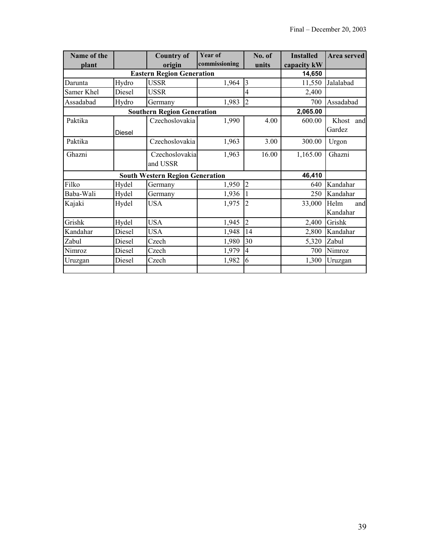| Name of the<br>plant |                                  | <b>Country of</b><br>origin       | <b>Year of</b><br>commissioning        | No. of<br>units     | <b>Installed</b><br>capacity kW | Area served |
|----------------------|----------------------------------|-----------------------------------|----------------------------------------|---------------------|---------------------------------|-------------|
|                      | <b>Eastern Region Generation</b> |                                   |                                        |                     |                                 |             |
| Darunta              | Hydro                            | 14,650<br>11,550                  | Jalalabad                              |                     |                                 |             |
| Samer Khel           | Diesel                           | <b>USSR</b><br><b>USSR</b>        | 1,964                                  | $\overline{3}$<br>4 | 2,400                           |             |
| Assadabad            | Hydro                            | Germany                           | 1,983                                  | $\overline{2}$      | 700                             | Assadabad   |
|                      |                                  | <b>Southern Region Generation</b> |                                        |                     | 2,065.00                        |             |
| Paktika              |                                  | Czechoslovakia                    | 1,990                                  | 4.00                | 600.00                          | Khost and   |
|                      | <b>Diesel</b>                    |                                   |                                        |                     |                                 | Gardez      |
| Paktika              |                                  | Czechoslovakia                    | 1,963                                  | 3.00                | 300.00                          | Urgon       |
| Ghazni               |                                  | Czechoslovakia                    | 1,963                                  | 16.00               | 1,165.00                        | Ghazni      |
|                      |                                  | and USSR                          |                                        |                     |                                 |             |
|                      |                                  |                                   | <b>South Western Region Generation</b> |                     |                                 |             |
| Filko                | Hydel                            | Germany                           | 1,950                                  | $\overline{2}$      | 640                             | Kandahar    |
| Baba-Wali            | Hydel                            | Germany                           | 1,936                                  | 1                   | 250                             | Kandahar    |
| Kajaki               | Hydel                            | <b>USA</b>                        | 1,975                                  | $\overline{2}$      | 33,000                          | Helm<br>and |
|                      |                                  |                                   |                                        |                     |                                 | Kandahar    |
| Grishk               | Hydel                            | <b>USA</b>                        | 1,945                                  | $\overline{2}$      | 2,400                           | Grishk      |
| Kandahar             | Diesel                           | <b>USA</b>                        | 1,948                                  | 14                  | 2,800                           | Kandahar    |
| Zabul                | Diesel                           | Czech                             | 1,980                                  | 30                  | 5,320                           | Zabul       |
| Nimroz               | Diesel                           | Czech                             | 1,979                                  | $\overline{4}$      | 700                             | Nimroz      |
| Uruzgan              | Diesel                           | Czech                             | 1,982                                  | 6                   | 1,300                           | Uruzgan     |
|                      |                                  |                                   |                                        |                     |                                 |             |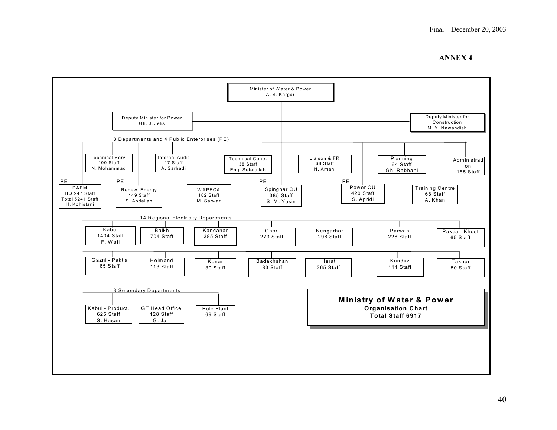

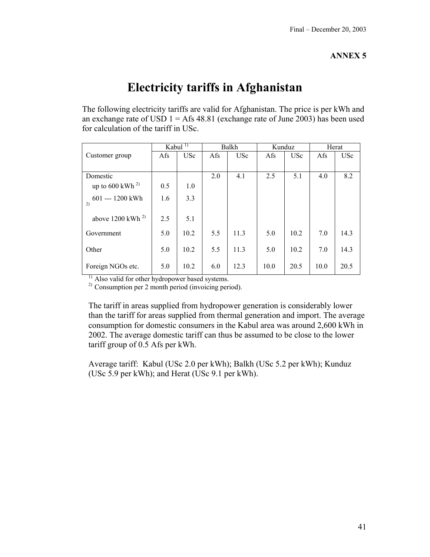## **Electricity tariffs in Afghanistan**

The following electricity tariffs are valid for Afghanistan. The price is per kWh and an exchange rate of USD  $1 = Afs 48.81$  (exchange rate of June 2003) has been used for calculation of the tariff in USc.

|                                | Kabul $^{1)}$ |            |     | Balkh      | Kunduz |            |      | Herat      |
|--------------------------------|---------------|------------|-----|------------|--------|------------|------|------------|
| Customer group                 | Afs           | <b>USc</b> | Afs | <b>USc</b> | Afs    | <b>USc</b> | Afs  | <b>USc</b> |
|                                |               |            |     |            |        |            |      |            |
| Domestic                       |               |            | 2.0 | 4.1        | 2.5    | 5.1        | 4.0  | 8.2        |
| up to $600$ kWh <sup>2)</sup>  | 0.5           | 1.0        |     |            |        |            |      |            |
| 601 --- 1200 kWh<br>2)         | 1.6           | 3.3        |     |            |        |            |      |            |
| above $1200$ kWh <sup>2)</sup> | 2.5           | 5.1        |     |            |        |            |      |            |
| Government                     | 5.0           | 10.2       | 5.5 | 11.3       | 5.0    | 10.2       | 7.0  | 14.3       |
| Other                          | 5.0           | 10.2       | 5.5 | 11.3       | 5.0    | 10.2       | 7.0  | 14.3       |
| Foreign NGOs etc.              | 5.0           | 10.2       | 6.0 | 12.3       | 10.0   | 20.5       | 10.0 | 20.5       |

<sup>1)</sup> Also valid for other hydropower based systems.

<sup>2)</sup> Consumption per 2 month period (invoicing period).

The tariff in areas supplied from hydropower generation is considerably lower than the tariff for areas supplied from thermal generation and import. The average consumption for domestic consumers in the Kabul area was around 2,600 kWh in 2002. The average domestic tariff can thus be assumed to be close to the lower tariff group of 0.5 Afs per kWh.

Average tariff: Kabul (USc 2.0 per kWh); Balkh (USc 5.2 per kWh); Kunduz (USc 5.9 per kWh); and Herat (USc 9.1 per kWh).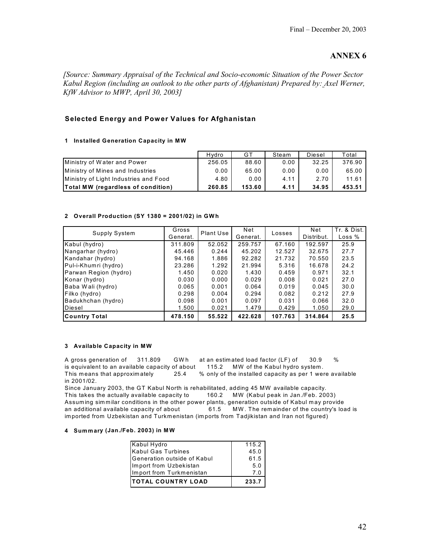*[Source: Summary Appraisal of the Technical and Socio-economic Situation of the Power Sector Kabul Region (including an outlook to the other parts of Afghanistan) Prepared by: Axel Werner, KfW Advisor to MWP, April 30, 2003]* 

#### **Selected Energy and Power Values for Afghanistan**

#### **1 Installed Generation Capacity in MW**

|                                           | Hydro  | GT     | Steam | Diesel | Total  |
|-------------------------------------------|--------|--------|-------|--------|--------|
| Ministry of Water and Power               | 256.05 | 88.60  | 0.00  | 32.25  | 376.90 |
| Ministry of Mines and Industries          | 0.00   | 65.00  | 0.00  | 0.00   | 65.00  |
| Ministry of Light Industries and Food     | 4.80   | 0.00   | 4.11  | 2.70   | 11.61  |
| <b>Total MW (regardless of condition)</b> | 260.85 | 153.60 | 4.11  | 34.95  | 453.51 |

#### **2 Overall Production (SY 1380 = 2001/02) in GWh**

| Supply System         | Gross<br>Generat. | Plant Use | Net<br>Generat. | Losses  | Net<br>Distribut. | Tr. & Dist.<br>Loss % |
|-----------------------|-------------------|-----------|-----------------|---------|-------------------|-----------------------|
| Kabul (hydro)         | 311.809           | 52.052    | 259.757         | 67.160  | 192.597           | 25.9                  |
| Nangarhar (hydro)     | 45.446            | 0.244     | 45.202          | 12.527  | 32.675            | 27.7                  |
|                       |                   |           |                 |         |                   |                       |
| Kandahar (hydro)      | 94.168            | 1.886     | 92.282          | 21.732  | 70.550            | 23.5                  |
| Pul-i-Khumri (hydro)  | 23.286            | 1.292     | 21.994          | 5.316   | 16.678            | 24.2                  |
| Parwan Region (hydro) | 1.450             | 0.020     | 1.430           | 0.459   | 0.971             | 32.1                  |
| Konar (hydro)         | 0.030             | 0.000     | 0.029           | 0.008   | 0.021             | 27.0                  |
| Baba Wali (hydro)     | 0.065             | 0.001     | 0.064           | 0.019   | 0.045             | 30.0                  |
| Filko (hydro)         | 0.298             | 0.004     | 0.294           | 0.082   | 0.212             | 27.9                  |
| Badukhchan (hydro)    | 0.098             | 0.001     | 0.097           | 0.031   | 0.066             | 32.0                  |
| Diesel                | 1.500             | 0.021     | 1.479           | 0.429   | 1.050             | 29.0                  |
| <b>Country Total</b>  | 478.150           | 55.522    | 422.628         | 107.763 | 314.864           | 25.5                  |

#### **3 Available Capacity in MW**

A gross generation of 311.809 GW h at an estimated load factor (LF) of 30.9 % is equivalent to an available capacity of about 115.2 MW of the Kabul hydro system. This means that approximately 25.4 % only of the installed capacity as per 1 were available in 2001/02.

Since January 2003, the GT Kabul North is rehabilitated, adding 45 MW available capacity. This takes the actually available capacity to 160.2 MW (Kabul peak in Jan./Feb. 2003) Assuming simmilar conditions in the other power plants, generation outside of Kabul may provide an additional available capacity of about 61.5 MW . The remainder of the country's load is imported from Uzbekistan and Turkmenistan (imports from Tadjikistan and Iran not figured)

#### **4 Summary (Jan./Feb. 2003) in MW**

| Kabul Hydro                 | $115.2$ |
|-----------------------------|---------|
| Kabul Gas Turbines          | 45.0    |
| Generation outside of Kabul | 61.5    |
| Import from Uzbekistan      | 5.0     |
| Import from Turkmenistan    | 7.0     |
| <b>TOTAL COUNTRY LOAD</b>   | 233.7   |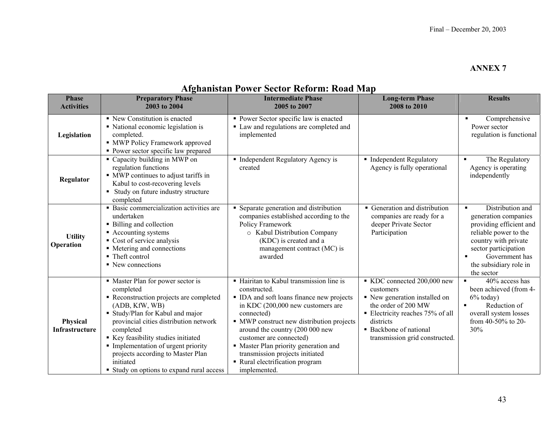## **Afghanistan Power Sector Reform: Road Map**

| <b>Phase</b><br><b>Activities</b>  | <b>Preparatory Phase</b><br>2003 to 2004                                                                                                                                                                                                                                                                                                                                        | <b>Intermediate Phase</b><br>2005 to 2007                                                                                                                                                                                                                                                                                                                                                          | <b>Long-term Phase</b><br>2008 to 2010                                                                                                                                                                                   | <b>Results</b>                                                                                                                                                                                               |
|------------------------------------|---------------------------------------------------------------------------------------------------------------------------------------------------------------------------------------------------------------------------------------------------------------------------------------------------------------------------------------------------------------------------------|----------------------------------------------------------------------------------------------------------------------------------------------------------------------------------------------------------------------------------------------------------------------------------------------------------------------------------------------------------------------------------------------------|--------------------------------------------------------------------------------------------------------------------------------------------------------------------------------------------------------------------------|--------------------------------------------------------------------------------------------------------------------------------------------------------------------------------------------------------------|
| Legislation                        | • New Constitution is enacted<br>• National economic legislation is<br>completed.<br>• MWP Policy Framework approved<br>• Power sector specific law prepared                                                                                                                                                                                                                    | • Power Sector specific law is enacted<br>• Law and regulations are completed and<br>implemented                                                                                                                                                                                                                                                                                                   |                                                                                                                                                                                                                          | Comprehensive<br>$\blacksquare$<br>Power sector<br>regulation is functional                                                                                                                                  |
| Regulator                          | • Capacity building in MWP on<br>regulation functions<br>• MWP continues to adjust tariffs in<br>Kabul to cost-recovering levels<br>• Study on future industry structure<br>completed                                                                                                                                                                                           | • Independent Regulatory Agency is<br>created                                                                                                                                                                                                                                                                                                                                                      | • Independent Regulatory<br>Agency is fully operational                                                                                                                                                                  | The Regulatory<br>٠<br>Agency is operating<br>independently                                                                                                                                                  |
| <b>Utility</b><br><b>Operation</b> | • Basic commercialization activities are<br>undertaken<br>• Billing and collection<br>• Accounting systems<br>Cost of service analysis<br>• Metering and connections<br>• Theft control<br>• New connections                                                                                                                                                                    | • Separate generation and distribution<br>companies established according to the<br>Policy Framework<br>o Kabul Distribution Company<br>(KDC) is created and a<br>management contract (MC) is<br>awarded                                                                                                                                                                                           | • Generation and distribution<br>companies are ready for a<br>deeper Private Sector<br>Participation                                                                                                                     | Distribution and<br>۰.<br>generation companies<br>providing efficient and<br>reliable power to the<br>country with private<br>sector participation<br>Government has<br>the subsidiary role in<br>the sector |
| Physical<br><b>Infrastructure</b>  | • Master Plan for power sector is<br>completed<br>• Reconstruction projects are completed<br>(ADB, KfW, WB)<br>Study/Plan for Kabul and major<br>provincial cities distribution network<br>completed<br>Key feasibility studies initiated<br>• Implementation of urgent priority<br>projects according to Master Plan<br>initiated<br>• Study on options to expand rural access | • Hairitan to Kabul transmission line is<br>constructed.<br>• IDA and soft loans finance new projects<br>in KDC (200,000 new customers are<br>connected)<br>• MWP construct new distribution projects<br>around the country (200 000 new<br>customer are connected)<br>• Master Plan priority generation and<br>transmission projects initiated<br>• Rural electrification program<br>implemented. | KDC connected 200,000 new<br>customers<br>• New generation installed on<br>the order of 200 MW<br>$\blacksquare$ Electricity reaches 75% of all<br>districts<br>• Backbone of national<br>transmission grid constructed. | $\blacksquare$<br>40% access has<br>been achieved (from 4-<br>$6\%$ today)<br>Reduction of<br>overall system losses<br>from 40-50% to 20-<br>30%                                                             |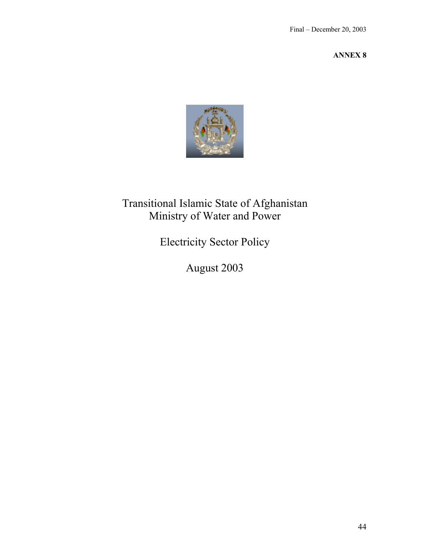

## Transitional Islamic State of Afghanistan Ministry of Water and Power

Electricity Sector Policy

August 2003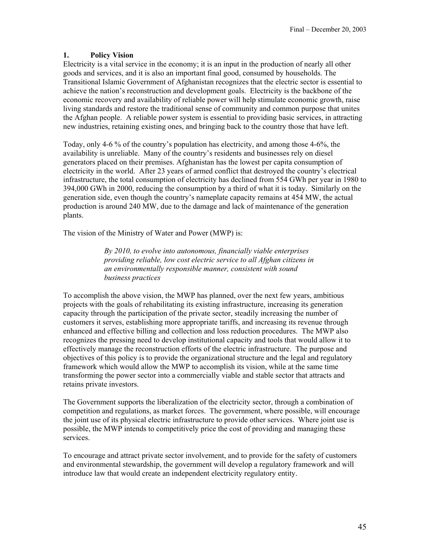#### **1. Policy Vision**

Electricity is a vital service in the economy; it is an input in the production of nearly all other goods and services, and it is also an important final good, consumed by households. The Transitional Islamic Government of Afghanistan recognizes that the electric sector is essential to achieve the nation's reconstruction and development goals. Electricity is the backbone of the economic recovery and availability of reliable power will help stimulate economic growth, raise living standards and restore the traditional sense of community and common purpose that unites the Afghan people. A reliable power system is essential to providing basic services, in attracting new industries, retaining existing ones, and bringing back to the country those that have left.

Today, only 4-6 % of the country's population has electricity, and among those 4-6%, the availability is unreliable. Many of the country's residents and businesses rely on diesel generators placed on their premises. Afghanistan has the lowest per capita consumption of electricity in the world. After 23 years of armed conflict that destroyed the country's electrical infrastructure, the total consumption of electricity has declined from 554 GWh per year in 1980 to 394,000 GWh in 2000, reducing the consumption by a third of what it is today. Similarly on the generation side, even though the country's nameplate capacity remains at 454 MW, the actual production is around 240 MW, due to the damage and lack of maintenance of the generation plants.

The vision of the Ministry of Water and Power (MWP) is:

*By 2010, to evolve into autonomous, financially viable enterprises providing reliable, low cost electric service to all Afghan citizens in an environmentally responsible manner, consistent with sound business practices* 

To accomplish the above vision, the MWP has planned, over the next few years, ambitious projects with the goals of rehabilitating its existing infrastructure, increasing its generation capacity through the participation of the private sector, steadily increasing the number of customers it serves, establishing more appropriate tariffs, and increasing its revenue through enhanced and effective billing and collection and loss reduction procedures. The MWP also recognizes the pressing need to develop institutional capacity and tools that would allow it to effectively manage the reconstruction efforts of the electric infrastructure. The purpose and objectives of this policy is to provide the organizational structure and the legal and regulatory framework which would allow the MWP to accomplish its vision, while at the same time transforming the power sector into a commercially viable and stable sector that attracts and retains private investors.

The Government supports the liberalization of the electricity sector, through a combination of competition and regulations, as market forces. The government, where possible, will encourage the joint use of its physical electric infrastructure to provide other services. Where joint use is possible, the MWP intends to competitively price the cost of providing and managing these services.

To encourage and attract private sector involvement, and to provide for the safety of customers and environmental stewardship, the government will develop a regulatory framework and will introduce law that would create an independent electricity regulatory entity.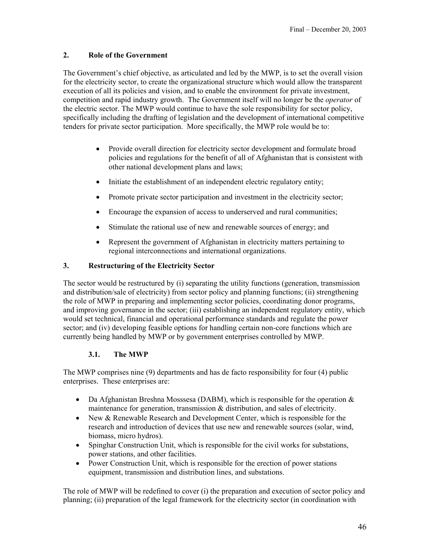### **2. Role of the Government**

The Government's chief objective, as articulated and led by the MWP, is to set the overall vision for the electricity sector, to create the organizational structure which would allow the transparent execution of all its policies and vision, and to enable the environment for private investment, competition and rapid industry growth. The Government itself will no longer be the *operator* of the electric sector. The MWP would continue to have the sole responsibility for sector policy, specifically including the drafting of legislation and the development of international competitive tenders for private sector participation. More specifically, the MWP role would be to:

- Provide overall direction for electricity sector development and formulate broad policies and regulations for the benefit of all of Afghanistan that is consistent with other national development plans and laws;
- Initiate the establishment of an independent electric regulatory entity;
- Promote private sector participation and investment in the electricity sector;
- Encourage the expansion of access to underserved and rural communities;
- Stimulate the rational use of new and renewable sources of energy; and
- Represent the government of Afghanistan in electricity matters pertaining to regional interconnections and international organizations.

## **3. Restructuring of the Electricity Sector**

The sector would be restructured by (i) separating the utility functions (generation, transmission and distribution/sale of electricity) from sector policy and planning functions; (ii) strengthening the role of MWP in preparing and implementing sector policies, coordinating donor programs, and improving governance in the sector; (iii) establishing an independent regulatory entity, which would set technical, financial and operational performance standards and regulate the power sector; and (iv) developing feasible options for handling certain non-core functions which are currently being handled by MWP or by government enterprises controlled by MWP.

## **3.1. The MWP**

The MWP comprises nine (9) departments and has de facto responsibility for four (4) public enterprises. These enterprises are:

- Da Afghanistan Breshna Mosssesa (DABM), which is responsible for the operation  $\&$ maintenance for generation, transmission & distribution, and sales of electricity.
- New & Renewable Research and Development Center, which is responsible for the research and introduction of devices that use new and renewable sources (solar, wind, biomass, micro hydros).
- Spinghar Construction Unit, which is responsible for the civil works for substations, power stations, and other facilities.
- Power Construction Unit, which is responsible for the erection of power stations equipment, transmission and distribution lines, and substations.

The role of MWP will be redefined to cover (i) the preparation and execution of sector policy and planning; (ii) preparation of the legal framework for the electricity sector (in coordination with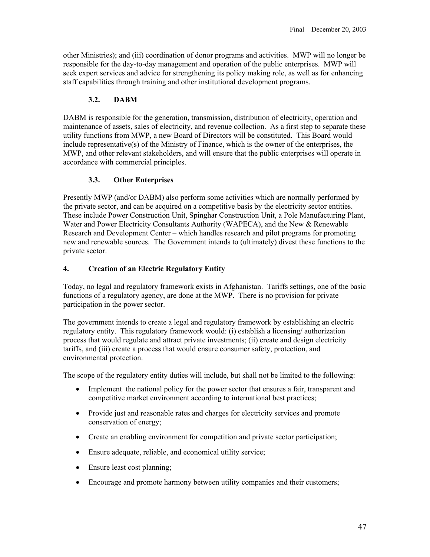other Ministries); and (iii) coordination of donor programs and activities. MWP will no longer be responsible for the day-to-day management and operation of the public enterprises. MWP will seek expert services and advice for strengthening its policy making role, as well as for enhancing staff capabilities through training and other institutional development programs.

### **3.2. DABM**

DABM is responsible for the generation, transmission, distribution of electricity, operation and maintenance of assets, sales of electricity, and revenue collection. As a first step to separate these utility functions from MWP, a new Board of Directors will be constituted. This Board would include representative(s) of the Ministry of Finance, which is the owner of the enterprises, the MWP, and other relevant stakeholders, and will ensure that the public enterprises will operate in accordance with commercial principles.

#### **3.3. Other Enterprises**

Presently MWP (and/or DABM) also perform some activities which are normally performed by the private sector, and can be acquired on a competitive basis by the electricity sector entities. These include Power Construction Unit, Spinghar Construction Unit, a Pole Manufacturing Plant, Water and Power Electricity Consultants Authority (WAPECA), and the New & Renewable Research and Development Center – which handles research and pilot programs for promoting new and renewable sources. The Government intends to (ultimately) divest these functions to the private sector.

#### **4. Creation of an Electric Regulatory Entity**

Today, no legal and regulatory framework exists in Afghanistan. Tariffs settings, one of the basic functions of a regulatory agency, are done at the MWP. There is no provision for private participation in the power sector.

The government intends to create a legal and regulatory framework by establishing an electric regulatory entity. This regulatory framework would: (i) establish a licensing/ authorization process that would regulate and attract private investments; (ii) create and design electricity tariffs, and (iii) create a process that would ensure consumer safety, protection, and environmental protection.

The scope of the regulatory entity duties will include, but shall not be limited to the following:

- Implement the national policy for the power sector that ensures a fair, transparent and competitive market environment according to international best practices;
- Provide just and reasonable rates and charges for electricity services and promote conservation of energy;
- Create an enabling environment for competition and private sector participation;
- Ensure adequate, reliable, and economical utility service;
- Ensure least cost planning;
- Encourage and promote harmony between utility companies and their customers;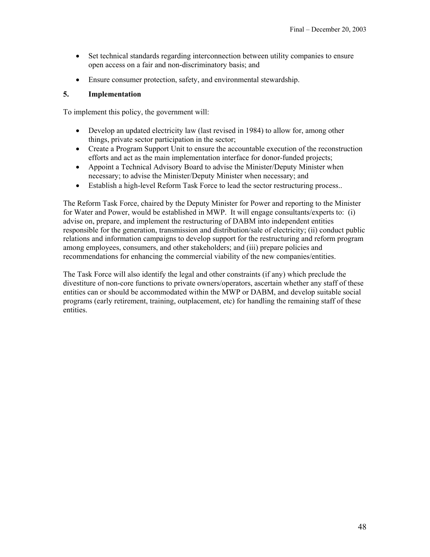- Set technical standards regarding interconnection between utility companies to ensure open access on a fair and non-discriminatory basis; and
- Ensure consumer protection, safety, and environmental stewardship.

#### **5. Implementation**

To implement this policy, the government will:

- Develop an updated electricity law (last revised in 1984) to allow for, among other things, private sector participation in the sector;
- Create a Program Support Unit to ensure the accountable execution of the reconstruction efforts and act as the main implementation interface for donor-funded projects;
- Appoint a Technical Advisory Board to advise the Minister/Deputy Minister when necessary; to advise the Minister/Deputy Minister when necessary; and
- Establish a high-level Reform Task Force to lead the sector restructuring process..

The Reform Task Force, chaired by the Deputy Minister for Power and reporting to the Minister for Water and Power, would be established in MWP. It will engage consultants/experts to: (i) advise on, prepare, and implement the restructuring of DABM into independent entities responsible for the generation, transmission and distribution/sale of electricity; (ii) conduct public relations and information campaigns to develop support for the restructuring and reform program among employees, consumers, and other stakeholders; and (iii) prepare policies and recommendations for enhancing the commercial viability of the new companies/entities.

The Task Force will also identify the legal and other constraints (if any) which preclude the divestiture of non-core functions to private owners/operators, ascertain whether any staff of these entities can or should be accommodated within the MWP or DABM, and develop suitable social programs (early retirement, training, outplacement, etc) for handling the remaining staff of these entities.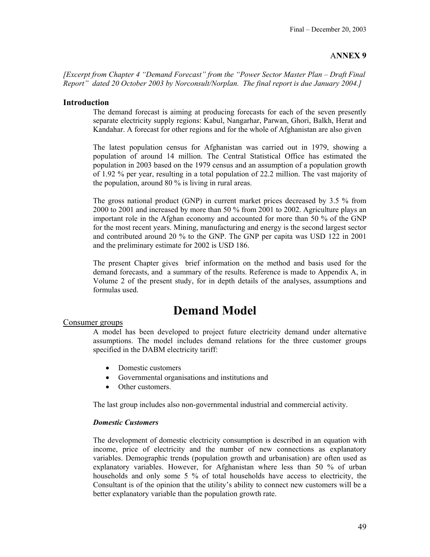*[Excerpt from Chapter 4 "Demand Forecast" from the "Power Sector Master Plan – Draft Final Report" dated 20 October 2003 by Norconsult/Norplan. The final report is due January 2004.]* 

#### **Introduction**

The demand forecast is aiming at producing forecasts for each of the seven presently separate electricity supply regions: Kabul, Nangarhar, Parwan, Ghori, Balkh, Herat and Kandahar. A forecast for other regions and for the whole of Afghanistan are also given

The latest population census for Afghanistan was carried out in 1979, showing a population of around 14 million. The Central Statistical Office has estimated the population in 2003 based on the 1979 census and an assumption of a population growth of 1.92 % per year, resulting in a total population of 22.2 million. The vast majority of the population, around 80 % is living in rural areas.

The gross national product (GNP) in current market prices decreased by 3.5 % from 2000 to 2001 and increased by more than 50 % from 2001 to 2002. Agriculture plays an important role in the Afghan economy and accounted for more than 50 % of the GNP for the most recent years. Mining, manufacturing and energy is the second largest sector and contributed around 20 % to the GNP. The GNP per capita was USD 122 in 2001 and the preliminary estimate for 2002 is USD 186.

The present Chapter gives brief information on the method and basis used for the demand forecasts, and a summary of the results. Reference is made to Appendix A, in Volume 2 of the present study, for in depth details of the analyses, assumptions and formulas used.

## **Demand Model**

#### Consumer groups

A model has been developed to project future electricity demand under alternative assumptions. The model includes demand relations for the three customer groups specified in the DABM electricity tariff:

- Domestic customers
- Governmental organisations and institutions and
- Other customers.

The last group includes also non-governmental industrial and commercial activity.

#### *Domestic Customers*

The development of domestic electricity consumption is described in an equation with income, price of electricity and the number of new connections as explanatory variables. Demographic trends (population growth and urbanisation) are often used as explanatory variables. However, for Afghanistan where less than 50 % of urban households and only some 5 % of total households have access to electricity, the Consultant is of the opinion that the utility's ability to connect new customers will be a better explanatory variable than the population growth rate.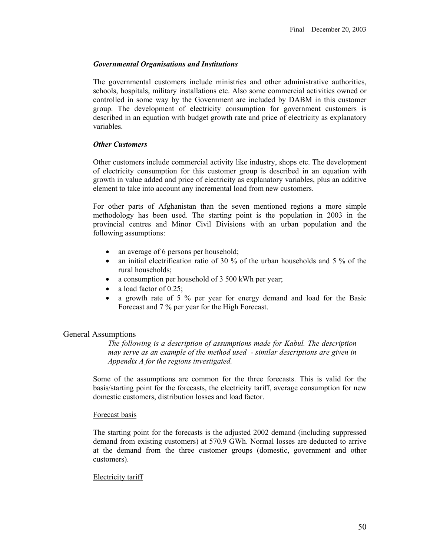#### *Governmental Organisations and Institutions*

The governmental customers include ministries and other administrative authorities, schools, hospitals, military installations etc. Also some commercial activities owned or controlled in some way by the Government are included by DABM in this customer group. The development of electricity consumption for government customers is described in an equation with budget growth rate and price of electricity as explanatory variables.

#### *Other Customers*

Other customers include commercial activity like industry, shops etc. The development of electricity consumption for this customer group is described in an equation with growth in value added and price of electricity as explanatory variables, plus an additive element to take into account any incremental load from new customers.

For other parts of Afghanistan than the seven mentioned regions a more simple methodology has been used. The starting point is the population in 2003 in the provincial centres and Minor Civil Divisions with an urban population and the following assumptions:

- an average of 6 persons per household;
- an initial electrification ratio of 30 % of the urban households and 5 % of the rural households;
- a consumption per household of 3 500 kWh per year;
- a load factor of  $0.25$ ;
- a growth rate of 5 % per year for energy demand and load for the Basic Forecast and 7 % per year for the High Forecast.

#### General Assumptions

*The following is a description of assumptions made for Kabul. The description may serve as an example of the method used - similar descriptions are given in Appendix A for the regions investigated.* 

Some of the assumptions are common for the three forecasts. This is valid for the basis/starting point for the forecasts, the electricity tariff, average consumption for new domestic customers, distribution losses and load factor.

#### Forecast basis

The starting point for the forecasts is the adjusted 2002 demand (including suppressed demand from existing customers) at 570.9 GWh. Normal losses are deducted to arrive at the demand from the three customer groups (domestic, government and other customers).

#### Electricity tariff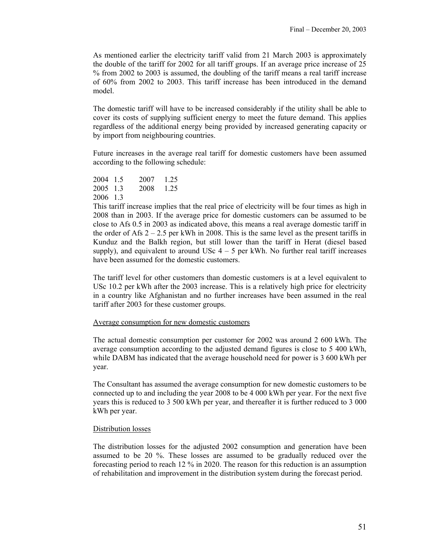As mentioned earlier the electricity tariff valid from 21 March 2003 is approximately the double of the tariff for 2002 for all tariff groups. If an average price increase of 25 % from 2002 to 2003 is assumed, the doubling of the tariff means a real tariff increase of 60% from 2002 to 2003. This tariff increase has been introduced in the demand model.

The domestic tariff will have to be increased considerably if the utility shall be able to cover its costs of supplying sufficient energy to meet the future demand. This applies regardless of the additional energy being provided by increased generating capacity or by import from neighbouring countries.

Future increases in the average real tariff for domestic customers have been assumed according to the following schedule:

2004 1.5 2007 1.25 2005 1.3 2008 1.25 2006 1.3

This tariff increase implies that the real price of electricity will be four times as high in 2008 than in 2003. If the average price for domestic customers can be assumed to be close to Afs 0.5 in 2003 as indicated above, this means a real average domestic tariff in the order of Afs  $2 - 2.5$  per kWh in 2008. This is the same level as the present tariffs in Kunduz and the Balkh region, but still lower than the tariff in Herat (diesel based supply), and equivalent to around USc  $4 - 5$  per kWh. No further real tariff increases have been assumed for the domestic customers.

The tariff level for other customers than domestic customers is at a level equivalent to USc 10.2 per kWh after the 2003 increase. This is a relatively high price for electricity in a country like Afghanistan and no further increases have been assumed in the real tariff after 2003 for these customer groups.

#### Average consumption for new domestic customers

The actual domestic consumption per customer for 2002 was around 2 600 kWh. The average consumption according to the adjusted demand figures is close to 5 400 kWh, while DABM has indicated that the average household need for power is 3 600 kWh per year.

The Consultant has assumed the average consumption for new domestic customers to be connected up to and including the year 2008 to be 4 000 kWh per year. For the next five years this is reduced to 3 500 kWh per year, and thereafter it is further reduced to 3 000 kWh per year.

#### Distribution losses

The distribution losses for the adjusted 2002 consumption and generation have been assumed to be 20 %. These losses are assumed to be gradually reduced over the forecasting period to reach 12 % in 2020. The reason for this reduction is an assumption of rehabilitation and improvement in the distribution system during the forecast period.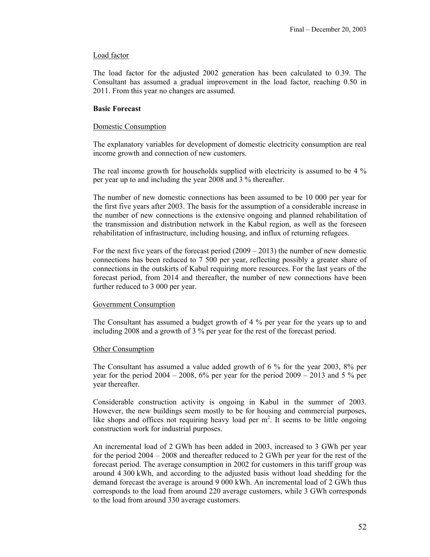#### Load factor

The load factor for the adjusted 2002 generation has been calculated to 0.39. The Consultant has assumed a gradual improvement in the load factor, reaching 0.50 in 2011. From this year no changes are assumed.

#### **Basic Forecast**

#### Domestic Consumption

The explanatory variables for development of domestic electricity consumption are real income growth and connection of new customers.

The real income growth for households supplied with electricity is assumed to be 4 % per year up to and including the year 2008 and 3 % thereafter.

The number of new domestic connections has been assumed to be 10 000 per year for the first five years after 2003. The basis for the assumption of a considerable increase in the number of new connections is the extensive ongoing and planned rehabilitation of the transmission and distribution network in the Kabul region, as well as the foreseen rehabilitation of infrastructure, including housing, and influx of returning refugees.

For the next five years of the forecast period  $(2009 - 2013)$  the number of new domestic connections has been reduced to 7 500 per year, reflecting possibly a greater share of connections in the outskirts of Kabul requiring more resources. For the last years of the forecast period, from 2014 and thereafter, the number of new connections have been further reduced to 3 000 per year.

#### Government Consumption

The Consultant has assumed a budget growth of 4 % per year for the years up to and including 2008 and a growth of 3 % per year for the rest of the forecast period.

#### Other Consumption

The Consultant has assumed a value added growth of 6 % for the year 2003, 8% per year for the period  $2004 - 2008$ ,  $6\%$  per year for the period  $2009 - 2013$  and 5 % per year thereafter.

Considerable construction activity is ongoing in Kabul in the summer of 2003. However, the new buildings seem mostly to be for housing and commercial purposes, like shops and offices not requiring heavy load per  $m<sup>2</sup>$ . It seems to be little ongoing construction work for industrial purposes.

An incremental load of 2 GWh has been added in 2003, increased to 3 GWh per year for the period 2004 – 2008 and thereafter reduced to 2 GWh per year for the rest of the forecast period. The average consumption in 2002 for customers in this tariff group was around 4 300 kWh, and according to the adjusted basis without load shedding for the demand forecast the average is around 9 000 kWh. An incremental load of 2 GWh thus corresponds to the load from around 220 average customers, while 3 GWh corresponds to the load from around 330 average customers.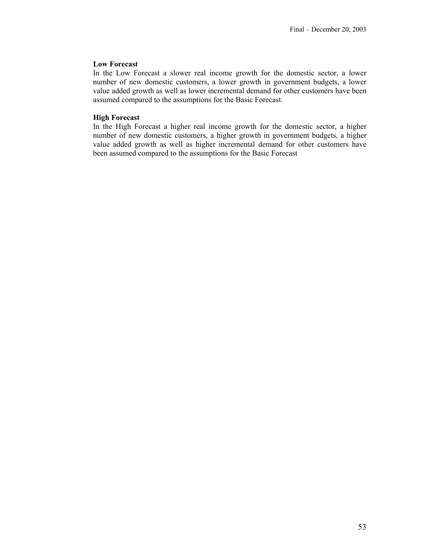#### **Low Forecast**

In the Low Forecast a slower real income growth for the domestic sector, a lower number of new domestic customers, a lower growth in government budgets, a lower value added growth as well as lower incremental demand for other customers have been assumed compared to the assumptions for the Basic Forecast.

#### **High Forecast**

In the High Forecast a higher real income growth for the domestic sector, a higher number of new domestic customers, a higher growth in government budgets, a higher value added growth as well as higher incremental demand for other customers have been assumed compared to the assumptions for the Basic Forecast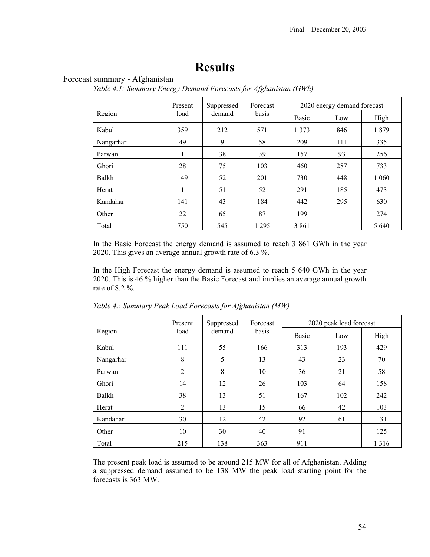## **Results**

## Forecast summary - Afghanistan

*Table 4.1: Summary Energy Demand Forecasts for Afghanistan (GWh)*

|           | Present | Suppressed | Forecast | 2020 energy demand forecast |     |         |  |
|-----------|---------|------------|----------|-----------------------------|-----|---------|--|
| Region    | load    | demand     | basis    | <b>Basic</b>                | Low | High    |  |
| Kabul     | 359     | 212        | 571      | 1 3 7 3                     | 846 | 1879    |  |
| Nangarhar | 49      | 9          | 58       | 209                         | 111 | 335     |  |
| Parwan    |         | 38         | 39       | 157                         | 93  | 256     |  |
| Ghori     | 28      | 75         | 103      | 460                         | 287 | 733     |  |
| Balkh     | 149     | 52         | 201      | 730                         | 448 | 1 0 6 0 |  |
| Herat     |         | 51         | 52       | 291                         | 185 | 473     |  |
| Kandahar  | 141     | 43         | 184      | 442                         | 295 | 630     |  |
| Other     | 22      | 65         | 87       | 199                         |     | 274     |  |
| Total     | 750     | 545        | 1 2 9 5  | 3 8 6 1                     |     | 5 6 4 0 |  |

In the Basic Forecast the energy demand is assumed to reach 3 861 GWh in the year 2020. This gives an average annual growth rate of 6.3 %.

In the High Forecast the energy demand is assumed to reach 5 640 GWh in the year 2020. This is 46 % higher than the Basic Forecast and implies an average annual growth rate of 8.2 %.

|           | Present        | Suppressed | Forecast | 2020 peak load forecast |     |         |  |
|-----------|----------------|------------|----------|-------------------------|-----|---------|--|
| Region    | load           | demand     | basis    | <b>Basic</b>            | Low | High    |  |
| Kabul     | 111            | 55         | 166      | 313                     | 193 | 429     |  |
| Nangarhar | 8              | 5          | 13       | 43                      | 23  | 70      |  |
| Parwan    | $\overline{2}$ | 8          | 10       | 36                      | 21  | 58      |  |
| Ghori     | 14             | 12         | 26       | 103                     | 64  | 158     |  |
| Balkh     | 38             | 13         | 51       | 167                     | 102 | 242     |  |
| Herat     | $\overline{2}$ | 13         | 15       | 66                      | 42  | 103     |  |
| Kandahar  | 30             | 12         | 42       | 92                      | 61  | 131     |  |
| Other     | 10             | 30         | 40       | 91                      |     | 125     |  |
| Total     | 215            | 138        | 363      | 911                     |     | 1 3 1 6 |  |

*Table 4.: Summary Peak Load Forecasts for Afghanistan (MW)* 

The present peak load is assumed to be around 215 MW for all of Afghanistan. Adding a suppressed demand assumed to be 138 MW the peak load starting point for the forecasts is 363 MW.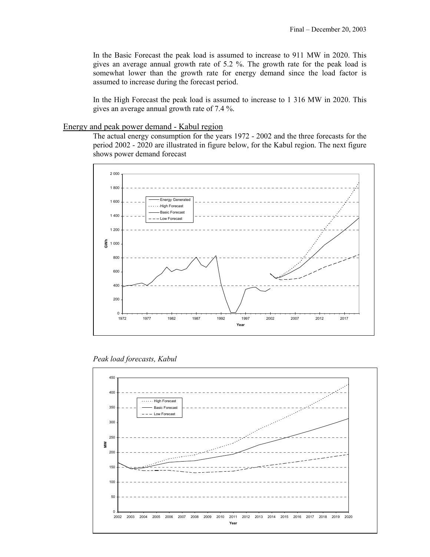In the Basic Forecast the peak load is assumed to increase to 911 MW in 2020. This gives an average annual growth rate of 5.2 %. The growth rate for the peak load is somewhat lower than the growth rate for energy demand since the load factor is assumed to increase during the forecast period.

In the High Forecast the peak load is assumed to increase to 1 316 MW in 2020. This gives an average annual growth rate of 7.4 %.

#### Energy and peak power demand - Kabul region

The actual energy consumption for the years 1972 - 2002 and the three forecasts for the period 2002 - 2020 are illustrated in figure below, for the Kabul region. The next figure shows power demand forecast



*Peak load forecasts, Kabul* 

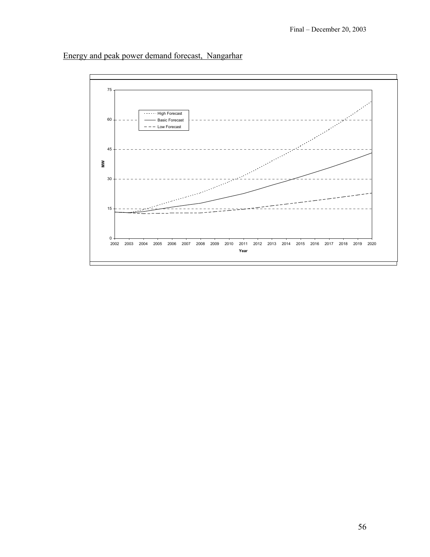

## Energy and peak power demand forecast, Nangarhar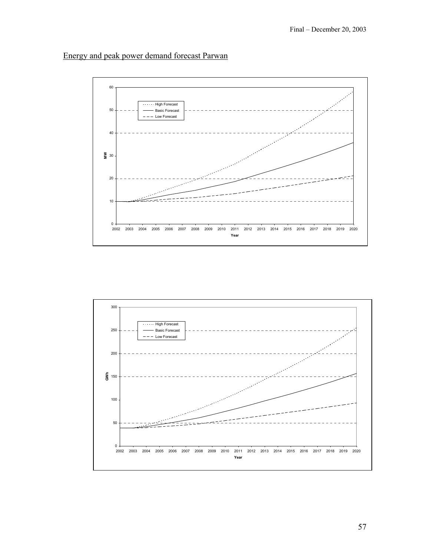## Energy and peak power demand forecast Parwan



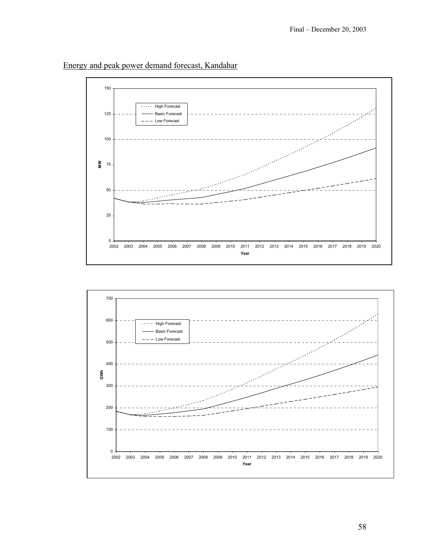



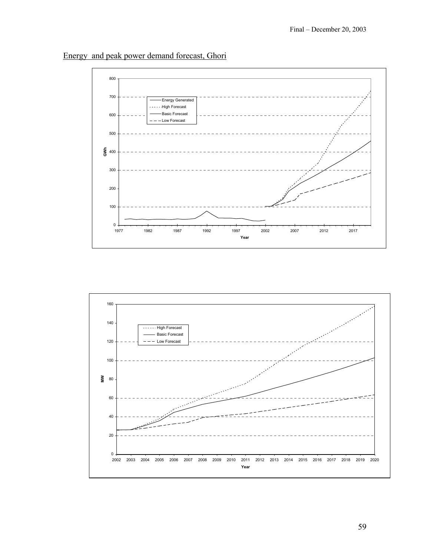

Energy and peak power demand forecast, Ghori

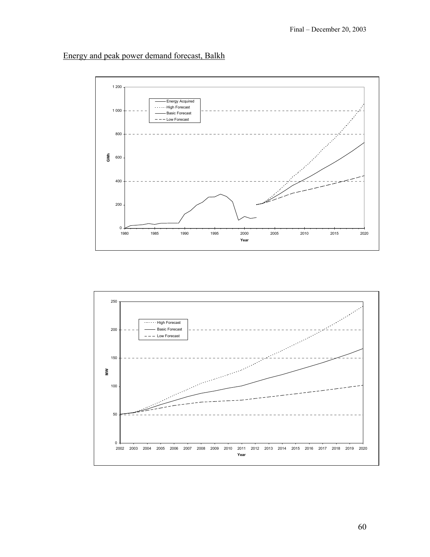## Energy and peak power demand forecast, Balkh